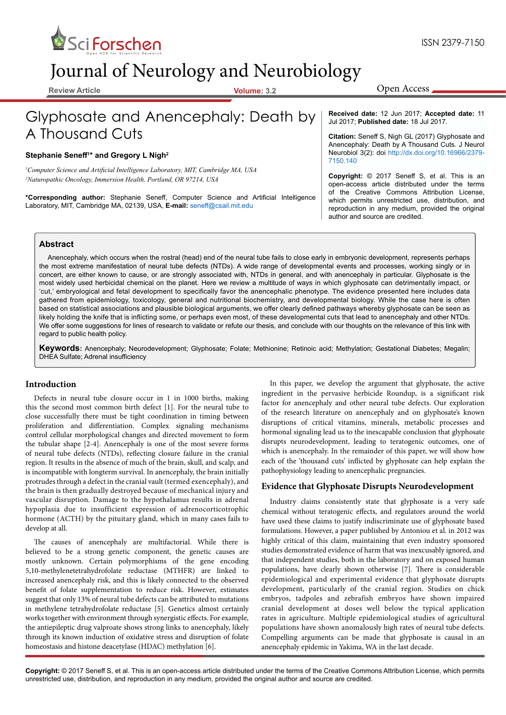

# Journal of Neurology and Neurobiology

**Review Article Volume: 3.2**

Open Access

## Glyphosate and Anencephaly: Death by A Thousand Cuts

#### **Stephanie Seneff<sup>1</sup> \* and Gregory L Nigh2**

*1 Computer Science and Artificial Intelligence Laboratory, MIT, Cambridge MA, USA 2 Naturopathic Oncology, Immersion Health, Portland, OR 97214, USA*

**\*Corresponding author:** Stephanie Seneff, Computer Science and Artificial Intelligence Laboratory, MIT, Cambridge MA, 02139, USA, **E-mail:** seneff@csail.mit.edu

**Received date:** 12 Jun 2017; **Accepted date:** 11 Jul 2017; **Published date:** 18 Jul 2017.

**Citation:** Seneff S, Nigh GL (2017) Glyphosate and Anencephaly: Death by A Thousand Cuts. J Neurol Neurobiol 3(2): doi [http://dx.doi.org/10.16966/2379-](http://dx.doi.org/10.16966/2379-7150.140) [7150.140](http://dx.doi.org/10.16966/2379-7150.140)

**Copyright:** © 2017 Seneff S, et al. This is an open-access article distributed under the terms of the Creative Commons Attribution License, which permits unrestricted use, distribution, and reproduction in any medium, provided the original author and source are credited.

#### **Abstract**

Anencephaly, which occurs when the rostral (head) end of the neural tube fails to close early in embryonic development, represents perhaps the most extreme manifestation of neural tube defects (NTDs). A wide range of developmental events and processes, working singly or in concert, are either known to cause, or are strongly associated with, NTDs in general, and with anencephaly in particular. Glyphosate is the most widely used herbicidal chemical on the planet. Here we review a multitude of ways in which glyphosate can detrimentally impact, or 'cut,' embryological and fetal development to specifically favor the anencephalic phenotype. The evidence presented here includes data gathered from epidemiology, toxicology, general and nutritional biochemistry, and developmental biology. While the case here is often based on statistical associations and plausible biological arguments, we offer clearly defined pathways whereby glyphosate can be seen as likely holding the knife that is inflicting some, or perhaps even most, of these developmental cuts that lead to anencephaly and other NTDs. We offer some suggestions for lines of research to validate or refute our thesis, and conclude with our thoughts on the relevance of this link with regard to public health policy.

**Keywords:** Anencephaly; Neurodevelopment; Glyphosate; Folate; Methionine; Retinoic acid; Methylation; Gestational Diabetes; Megalin; DHEA Sulfate; Adrenal insufficiency

#### **Introduction**

Defects in neural tube closure occur in 1 in 1000 births, making this the second most common birth defect [1]. For the neural tube to close successfully there must be tight coordination in timing between proliferation and differentiation. Complex signaling mechanisms control cellular morphological changes and directed movement to form the tubular shape [2-4]. Anencephaly is one of the most severe forms of neural tube defects (NTDs), reflecting closure failure in the cranial region. It results in the absence of much of the brain, skull, and scalp, and is incompatible with longterm survival. In anencephaly, the brain initially protrudes through a defect in the cranial vault (termed exencephaly), and the brain is then gradually destroyed because of mechanical injury and vascular disruption. Damage to the hypothalamus results in adrenal hypoplasia due to insufficient expression of adrenocorticotrophic hormone (ACTH) by the pituitary gland, which in many cases fails to develop at all.

The causes of anencephaly are multifactorial. While there is believed to be a strong genetic component, the genetic causes are mostly unknown. Certain polymorphisms of the gene encoding 5,10-methylenetetrahydrofolate reductase (MTHFR) are linked to increased anencephaly risk, and this is likely connected to the observed benefit of folate supplementation to reduce risk. However, estimates suggest that only 13% of neural tube defects can be attributed to mutations in methylene tetrahydrofolate reductase [5]. Genetics almost certainly works together with environment through synergistic effects. For example, the antiepileptic drug valproate shows strong links to anencephaly, likely through its known induction of oxidative stress and disruption of folate homeostasis and histone deacetylase (HDAC) methylation [6].

In this paper, we develop the argument that glyphosate, the active ingredient in the pervasive herbicide Roundup, is a significant risk factor for anencephaly and other neural tube defects. Our exploration of the research literature on anencephaly and on glyphosate's known disruptions of critical vitamins, minerals, metabolic processes and hormonal signaling lead us to the inescapable conclusion that glyphosate disrupts neurodevelopment, leading to teratogenic outcomes, one of which is anencephaly. In the remainder of this paper, we will show how each of the 'thousand cuts' inflicted by glyphosate can help explain the pathophysiology leading to anencephalic pregnancies.

#### **Evidence that Glyphosate Disrupts Neurodevelopment**

Industry claims consistently state that glyphosate is a very safe chemical without teratogenic effects, and regulators around the world have used these claims to justify indiscriminate use of glyphosate based formulations. However, a paper published by Antoniou et al. in 2012 was highly critical of this claim, maintaining that even industry sponsored studies demonstrated evidence of harm that was inexcusably ignored, and that independent studies, both in the laboratory and on exposed human populations, have clearly shown otherwise [7]. There is considerable epidemiological and experimental evidence that glyphosate disrupts development, particularly of the cranial region. Studies on chick embryos, tadpoles and zebrafish embryos have shown impaired cranial development at doses well below the typical application rates in agriculture. Multiple epidemiological studies of agricultural populations have shown anomalously high rates of neural tube defects. Compelling arguments can be made that glyphosate is causal in an anencephaly epidemic in Yakima, WA in the last decade.

**Copyright:** © 2017 Seneff S, et al. This is an open-access article distributed under the terms of the Creative Commons Attribution License, which permits unrestricted use, distribution, and reproduction in any medium, provided the original author and source are credited.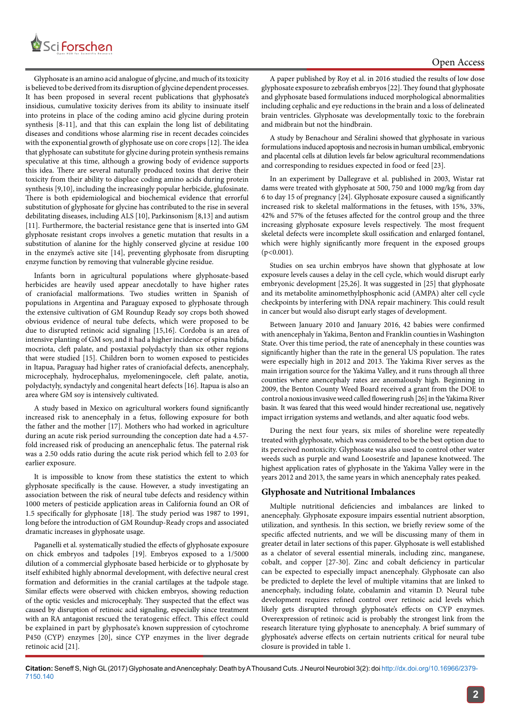

Glyphosate is an amino acid analogue of glycine, and much of its toxicity is believed to be derived from its disruption of glycine dependent processes. It has been proposed in several recent publications that glyphosate's insidious, cumulative toxicity derives from its ability to insinuate itself into proteins in place of the coding amino acid glycine during protein synthesis [8-11], and that this can explain the long list of debilitating diseases and conditions whose alarming rise in recent decades coincides with the exponential growth of glyphosate use on core crops [12]. The idea that glyphosate can substitute for glycine during protein synthesis remains speculative at this time, although a growing body of evidence supports this idea. There are several naturally produced toxins that derive their toxicity from their ability to displace coding amino acids during protein synthesis [9,10], including the increasingly popular herbicide, glufosinate. There is both epidemiological and biochemical evidence that errorful substitution of glyphosate for glycine has contributed to the rise in several debilitating diseases, including ALS [10], Parkinsonism [8,13] and autism [11]. Furthermore, the bacterial resistance gene that is inserted into GM glyphosate resistant crops involves a genetic mutation that results in a substitution of alanine for the highly conserved glycine at residue 100 in the enzyme's active site [14], preventing glyphosate from disrupting enzyme function by removing that vulnerable glycine residue.

Infants born in agricultural populations where glyphosate-based herbicides are heavily used appear anecdotally to have higher rates of craniofacial malformations. Two studies written in Spanish of populations in Argentina and Paraguay exposed to glyphosate through the extensive cultivation of GM Roundup Ready soy crops both showed obvious evidence of neural tube defects, which were proposed to be due to disrupted retinoic acid signaling [15,16]. Cordoba is an area of intensive planting of GM soy, and it had a higher incidence of spina bifida, mocriota, cleft palate, and postaxial polydactyly than six other regions that were studied [15]. Children born to women exposed to pesticides in Itapua, Paraguay had higher rates of craniofacial defects, anencephaly, microcephaly, hydrocephalus, myelomeningocele, cleft palate, anotia, polydactyly, syndactyly and congenital heart defects [16]. Itapua is also an area where GM soy is intensively cultivated.

A study based in Mexico on agricultural workers found significantly increased risk to anencephaly in a fetus, following exposure for both the father and the mother [17]. Mothers who had worked in agriculture during an acute risk period surrounding the conception date had a 4.57 fold increased risk of producing an anencephalic fetus. The paternal risk was a 2.50 odds ratio during the acute risk period which fell to 2.03 for earlier exposure.

It is impossible to know from these statistics the extent to which glyphosate specifically is the cause. However, a study investigating an association between the risk of neural tube defects and residency within 1000 meters of pesticide application areas in California found an OR of 1.5 specifically for glyphosate [18]. The study period was 1987 to 1991, long before the introduction of GM Roundup-Ready crops and associated dramatic increases in glyphosate usage.

Paganelli et al*.* systematically studied the effects of glyphosate exposure on chick embryos and tadpoles [19]. Embryos exposed to a 1/5000 dilution of a commercial glyphosate based herbicide or to glyphosate by itself exhibited highly abnormal development, with defective neural crest formation and deformities in the cranial cartilages at the tadpole stage. Similar effects were observed with chicken embryos, showing reduction of the optic vesicles and microcephaly. They suspected that the effect was caused by disruption of retinoic acid signaling, especially since treatment with an RA antagonist rescued the teratogenic effect. This effect could be explained in part by glyphosate's known suppression of cytochrome P450 (CYP) enzymes [20], since CYP enzymes in the liver degrade retinoic acid [21].

A paper published by Roy et al. in 2016 studied the results of low dose glyphosate exposure to zebrafish embryos [22]. They found that glyphosate and glyphosate based formulations induced morphological abnormalities including cephalic and eye reductions in the brain and a loss of delineated brain ventricles. Glyphosate was developmentally toxic to the forebrain and midbrain but not the hindbrain.

A study by Benachour and Séralini showed that glyphosate in various formulations induced apoptosis and necrosis in human umbilical, embryonic and placental cells at dilution levels far below agricultural recommendations and corresponding to residues expected in food or feed [23].

In an experiment by Dallegrave et al. published in 2003, Wistar rat dams were treated with glyphosate at 500, 750 and 1000 mg/kg from day 6 to day 15 of pregnancy [24]. Glyphosate exposure caused a significantly increased risk to skeletal malformations in the fetuses, with 15%, 33%, 42% and 57% of the fetuses affected for the control group and the three increasing glyphosate exposure levels respectively. The most frequent skeletal defects were incomplete skull ossification and enlarged fontanel, which were highly significantly more frequent in the exposed groups (p*<*0.001).

Studies on sea urchin embryos have shown that glyphosate at low exposure levels causes a delay in the cell cycle, which would disrupt early embryonic development [25,26]. It was suggested in [25] that glyphosate and its metabolite aminomethylphosphonic acid (AMPA) alter cell cycle checkpoints by interfering with DNA repair machinery. This could result in cancer but would also disrupt early stages of development.

Between January 2010 and January 2016, 42 babies were confirmed with anencephaly in Yakima, Benton and Franklin counties in Washington State. Over this time period, the rate of anencephaly in these counties was significantly higher than the rate in the general US population. The rates were especially high in 2012 and 2013. The Yakima River serves as the main irrigation source for the Yakima Valley, and it runs through all three counties where anencephaly rates are anomalously high. Beginning in 2009, the Benton County Weed Board received a grant from the DOE to control a noxious invasive weed called flowering rush [26] in the Yakima River basin. It was feared that this weed would hinder recreational use, negatively impact irrigation systems and wetlands, and alter aquatic food webs.

During the next four years, six miles of shoreline were repeatedly treated with glyphosate, which was considered to be the best option due to its perceived nontoxicity. Glyphosate was also used to control other water weeds such as purple and wand Loosestrife and Japanese knotweed. The highest application rates of glyphosate in the Yakima Valley were in the years 2012 and 2013, the same years in which anencephaly rates peaked.

#### **Glyphosate and Nutritional Imbalances**

Multiple nutritional deficiencies and imbalances are linked to anencephaly. Glyphosate exposure impairs essential nutrient absorption, utilization, and synthesis. In this section, we briefly review some of the specific affected nutrients, and we will be discussing many of them in greater detail in later sections of this paper. Glyphosate is well established as a chelator of several essential minerals, including zinc, manganese, cobalt, and copper [27-30]. Zinc and cobalt deficiency in particular can be expected to especially impact anencephaly. Glyphosate can also be predicted to deplete the level of multiple vitamins that are linked to anencephaly, including folate, cobalamin and vitamin D. Neural tube development requires refined control over retinoic acid levels which likely gets disrupted through glyphosate's effects on CYP enzymes. Overexpression of retinoic acid is probably the strongest link from the research literature tying glyphosate to anencephaly. A brief summary of glyphosate's adverse effects on certain nutrients critical for neural tube closure is provided in table 1.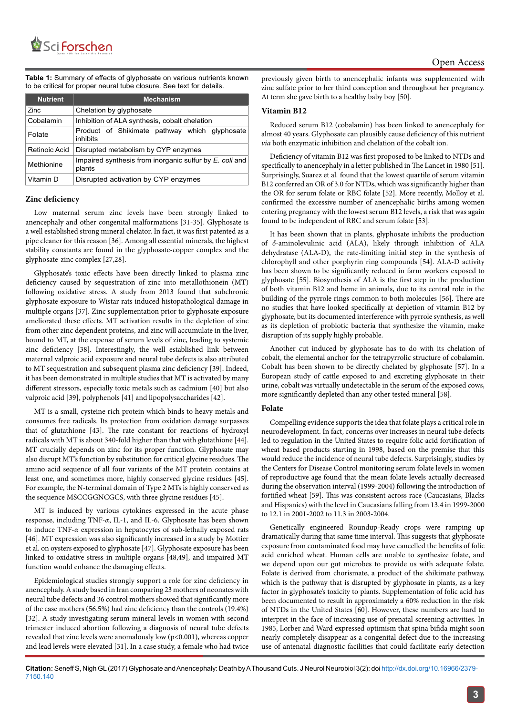**Table 1:** Summary of effects of glyphosate on various nutrients known to be critical for proper neural tube closure. See text for details.

| <b>Nutrient</b> | <b>Mechanism</b>                                                  |  |  |
|-----------------|-------------------------------------------------------------------|--|--|
| Zinc            | Chelation by glyphosate                                           |  |  |
| Cobalamin       | Inhibition of ALA synthesis, cobalt chelation                     |  |  |
| Folate          | Product of Shikimate pathway which glyphosate<br>inhibits         |  |  |
| Retinoic Acid   | Disrupted metabolism by CYP enzymes                               |  |  |
| Methionine      | Impaired synthesis from inorganic sulfur by E. coli and<br>plants |  |  |
| Vitamin D       | Disrupted activation by CYP enzymes                               |  |  |

#### **Zinc deficiency**

Low maternal serum zinc levels have been strongly linked to anencephaly and other congenital malformations [31-35]. Glyphosate is a well established strong mineral chelator. In fact, it was first patented as a pipe cleaner for this reason [36]. Among all essential minerals, the highest stability constants are found in the glyphosate-copper complex and the glyphosate-zinc complex [27,28].

Glyphosate's toxic effects have been directly linked to plasma zinc deficiency caused by sequestration of zinc into metallothionein (MT) following oxidative stress. A study from 2013 found that subchronic glyphosate exposure to Wistar rats induced histopathological damage in multiple organs [37]. Zinc supplementation prior to glyphosate exposure ameliorated these effects. MT activation results in the depletion of zinc from other zinc dependent proteins, and zinc will accumulate in the liver, bound to MT, at the expense of serum levels of zinc, leading to systemic zinc deficiency [38]. Interestingly, the well established link between maternal valproic acid exposure and neural tube defects is also attributed to MT sequestration and subsequent plasma zinc deficiency [39]. Indeed, it has been demonstrated in multiple studies that MT is activated by many different stressors, especially toxic metals such as cadmium [40] but also valproic acid [39], polyphenols [41] and lipopolysaccharides [42].

MT is a small, cysteine rich protein which binds to heavy metals and consumes free radicals. Its protection from oxidation damage surpasses that of glutathione [43]. The rate constant for reactions of hydroxyl radicals with MT is about 340-fold higher than that with glutathione [44]. MT crucially depends on zinc for its proper function. Glyphosate may also disrupt MT's function by substitution for critical glycine residues. The amino acid sequence of all four variants of the MT protein contains at least one, and sometimes more, highly conserved glycine residues [45]. For example, the N-terminal domain of Type 2 MTs is highly conserved as the sequence MSCCGGNCGCS, with three glycine residues [45].

MT is induced by various cytokines expressed in the acute phase response, including TNF-*α*, IL-1, and IL-6. Glyphosate has been shown to induce TNF-*α* expression in hepatocytes of sub-lethally exposed rats [46]. MT expression was also significantly increased in a study by Mottier et al. on oysters exposed to glyphosate [47]. Glyphosate exposure has been linked to oxidative stress in multiple organs [48,49], and impaired MT function would enhance the damaging effects.

Epidemiological studies strongly support a role for zinc deficiency in anencephaly. A study based in Iran comparing 23 mothers of neonates with neural tube defects and 36 control mothers showed that significantly more of the case mothers (56.5%) had zinc deficiency than the controls (19.4%) [32]. A study investigating serum mineral levels in women with second trimester induced abortion following a diagnosis of neural tube defects revealed that zinc levels were anomalously low (p<0.001), whereas copper and lead levels were elevated [31]. In a case study, a female who had twice

previously given birth to anencephalic infants was supplemented with zinc sulfate prior to her third conception and throughout her pregnancy. At term she gave birth to a healthy baby boy [50].

#### **Vitamin B12**

Reduced serum B12 (cobalamin) has been linked to anencephaly for almost 40 years. Glyphosate can plausibly cause deficiency of this nutrient *via* both enzymatic inhibition and chelation of the cobalt ion.

Deficiency of vitamin B12 was first proposed to be linked to NTDs and specifically to anencephaly in a letter published in The Lancet in 1980 [51]. Surprisingly, Suarez et al*.* found that the lowest quartile of serum vitamin B12 conferred an OR of 3.0 for NTDs, which was significantly higher than the OR for serum folate or RBC folate [52]. More recently, Molloy et al. confirmed the excessive number of anencephalic births among women entering pregnancy with the lowest serum B12 levels, a risk that was again found to be independent of RBC and serum folate [53].

It has been shown that in plants, glyphosate inhibits the production of *δ*-aminolevulinic acid (ALA), likely through inhibition of ALA dehydratase (ALA-D), the rate-limiting initial step in the synthesis of chlorophyll and other porphyrin ring compounds [54]. ALA-D activity has been shown to be significantly reduced in farm workers exposed to glyphosate [55]. Biosynthesis of ALA is the first step in the production of both vitamin B12 and heme in animals, due to its central role in the building of the pyrrole rings common to both molecules [56]. There are no studies that have looked specifically at depletion of vitamin B12 by glyphosate, but its documented interference with pyrrole synthesis, as well as its depletion of probiotic bacteria that synthesize the vitamin, make disruption of its supply highly probable.

Another cut induced by glyphosate has to do with its chelation of cobalt, the elemental anchor for the tetrapyrrolic structure of cobalamin. Cobalt has been shown to be directly chelated by glyphosate [57]. In a European study of cattle exposed to and excreting glyphosate in their urine, cobalt was virtually undetectable in the serum of the exposed cows, more significantly depleted than any other tested mineral [58].

#### **Folate**

Compelling evidence supports the idea that folate plays a critical role in neurodevelopment. In fact, concerns over increases in neural tube defects led to regulation in the United States to require folic acid fortification of wheat based products starting in 1998, based on the premise that this would reduce the incidence of neural tube defects. Surprisingly, studies by the Centers for Disease Control monitoring serum folate levels in women of reproductive age found that the mean folate levels actually decreased during the observation interval (1999-2004) following the introduction of fortified wheat [59]. This was consistent across race (Caucasians, Blacks and Hispanics) with the level in Caucasians falling from 13.4 in 1999-2000 to 12.1 in 2001-2002 to 11.3 in 2003-2004.

Genetically engineered Roundup-Ready crops were ramping up dramatically during that same time interval. This suggests that glyphosate exposure from contaminated food may have cancelled the benefits of folic acid enriched wheat. Human cells are unable to synthesize folate, and we depend upon our gut microbes to provide us with adequate folate. Folate is derived from chorismate, a product of the shikimate pathway, which is the pathway that is disrupted by glyphosate in plants, as a key factor in glyphosate's toxicity to plants. Supplementation of folic acid has been documented to result in approximately a 60% reduction in the risk of NTDs in the United States [60]. However, these numbers are hard to interpret in the face of increasing use of prenatal screening activities. In 1985, Lorber and Ward expressed optimism that spina bifida might soon nearly completely disappear as a congenital defect due to the increasing use of antenatal diagnostic facilities that could facilitate early detection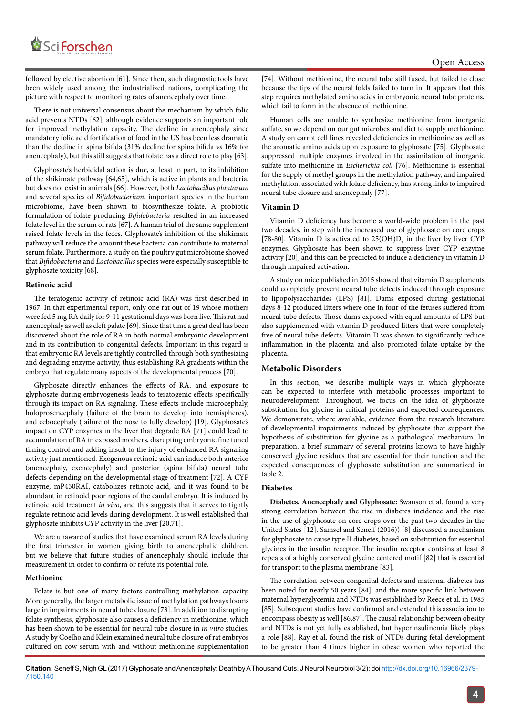

followed by elective abortion [61]. Since then, such diagnostic tools have been widely used among the industrialized nations, complicating the picture with respect to monitoring rates of anencephaly over time.

There is not universal consensus about the mechanism by which folic acid prevents NTDs [62], although evidence supports an important role for improved methylation capacity. The decline in anencephaly since mandatory folic acid fortification of food in the US has been less dramatic than the decline in spina bifida (31% decline for spina bifida *vs* 16% for anencephaly), but this still suggests that folate has a direct role to play [63].

Glyphosate's herbicidal action is due, at least in part, to its inhibition of the shikimate pathway [64,65], which is active in plants and bacteria, but does not exist in animals [66]. However, both *Lactobacillus plantarum*  and several species of *Bifidobacterium*, important species in the human microbiome, have been shown to biosynthesize folate. A probiotic formulation of folate producing *Bifidobacteria* resulted in an increased folate level in the serum of rats [67]. A human trial of the same supplement raised folate levels in the feces. Glyphosate's inhibition of the shikimate pathway will reduce the amount these bacteria can contribute to maternal serum folate. Furthermore, a study on the poultry gut microbiome showed that *Bifidobacteria* and *Lactobacillus* species were especially susceptible to glyphosate toxicity [68].

#### **Retinoic acid**

The teratogenic activity of retinoic acid (RA) was first described in 1967. In that experimental report, only one rat out of 19 whose mothers were fed 5 mg RA daily for 9-11 gestational days was born live. This rat had anencephaly as well as cleft palate [69]. Since that time a great deal has been discovered about the role of RA in both normal embryonic development and in its contribution to congenital defects. Important in this regard is that embryonic RA levels are tightly controlled through both synthesizing and degrading enzyme activity, thus establishing RA gradients within the embryo that regulate many aspects of the developmental process [70].

Glyphosate directly enhances the effects of RA, and exposure to glyphosate during embryogenesis leads to teratogenic effects specifically through its impact on RA signaling. These effects include microcephaly, holoprosencephaly (failure of the brain to develop into hemispheres), and cebocephaly (failure of the nose to fully develop) [19]. Glyphosate's impact on CYP enzymes in the liver that degrade RA [71] could lead to accumulation of RA in exposed mothers, disrupting embryonic fine tuned timing control and adding insult to the injury of enhanced RA signaling activity just mentioned. Exogenous retinoic acid can induce both anterior (anencephaly, exencephaly) and posterior (spina bifida) neural tube defects depending on the developmental stage of treatment [72]. A CYP enzyme, mP450RAI, catabolizes retinoic acid, and it was found to be abundant in retinoid poor regions of the caudal embryo. It is induced by retinoic acid treatment *in vivo*, and this suggests that it serves to tightly regulate retinoic acid levels during development. It is well established that glyphosate inhibits CYP activity in the liver [20,71].

We are unaware of studies that have examined serum RA levels during the first trimester in women giving birth to anencephalic children, but we believe that future studies of anencephaly should include this measurement in order to confirm or refute its potential role.

#### **Methionine**

Folate is but one of many factors controlling methylation capacity. More generally, the larger metabolic issue of methylation pathways looms large in impairments in neural tube closure [73]. In addition to disrupting folate synthesis, glyphosate also causes a deficiency in methionine, which has been shown to be essential for neural tube closure in *in vitro* studies. A study by Coelho and Klein examined neural tube closure of rat embryos cultured on cow serum with and without methionine supplementation [74]. Without methionine, the neural tube still fused, but failed to close because the tips of the neural folds failed to turn in. It appears that this step requires methylated amino acids in embryonic neural tube proteins, which fail to form in the absence of methionine.

Human cells are unable to synthesize methionine from inorganic sulfate, so we depend on our gut microbes and diet to supply methionine. A study on carrot cell lines revealed deficiencies in methionine as well as the aromatic amino acids upon exposure to glyphosate [75]. Glyphosate suppressed multiple enzymes involved in the assimilation of inorganic sulfate into methionine in *Escherichia coli* [76]. Methionine is essential for the supply of methyl groups in the methylation pathway, and impaired methylation, associated with folate deficiency, has strong links to impaired neural tube closure and anencephaly [77].

#### **Vitamin D**

Vitamin D deficiency has become a world-wide problem in the past two decades, in step with the increased use of glyphosate on core crops [78-80]. Vitamin D is activated to  $25(OH)D<sub>3</sub>$  in the liver by liver CYP enzymes. Glyphosate has been shown to suppress liver CYP enzyme activity [20], and this can be predicted to induce a deficiency in vitamin D through impaired activation.

A study on mice published in 2015 showed that vitamin D supplements could completely prevent neural tube defects induced through exposure to lipopolysaccharides (LPS) [81]. Dams exposed during gestational days 8-12 produced litters where one in four of the fetuses suffered from neural tube defects. Those dams exposed with equal amounts of LPS but also supplemented with vitamin D produced litters that were completely free of neural tube defects. Vitamin D was shown to significantly reduce inflammation in the placenta and also promoted folate uptake by the placenta.

#### **Metabolic Disorders**

In this section, we describe multiple ways in which glyphosate can be expected to interfere with metabolic processes important to neurodevelopment. Throughout, we focus on the idea of glyphosate substitution for glycine in critical proteins and expected consequences. We demonstrate, where available, evidence from the research literature of developmental impairments induced by glyphosate that support the hypothesis of substitution for glycine as a pathological mechanism. In preparation, a brief summary of several proteins known to have highly conserved glycine residues that are essential for their function and the expected consequences of glyphosate substitution are summarized in table 2.

#### **Diabetes**

**Diabetes, Anencephaly and Glyphosate:** Swanson et al. found a very strong correlation between the rise in diabetes incidence and the rise in the use of glyphosate on core crops over the past two decades in the United States [12]. Samsel and Seneff (2016)) [8] discussed a mechanism for glyphosate to cause type II diabetes, based on substitution for essential glycines in the insulin receptor. The insulin receptor contains at least 8 repeats of a highly conserved glycine centered motif [82] that is essential for transport to the plasma membrane [83].

The correlation between congenital defects and maternal diabetes has been noted for nearly 50 years [84], and the more specific link between maternal hyperglycemia and NTDs was established by Reece et al. in 1985 [85]. Subsequent studies have confirmed and extended this association to encompass obesity as well [86,87]. The causal relationship between obesity and NTDs is not yet fully established, but hyperinsulinemia likely plays a role [88]. Ray et al. found the risk of NTDs during fetal development to be greater than 4 times higher in obese women who reported the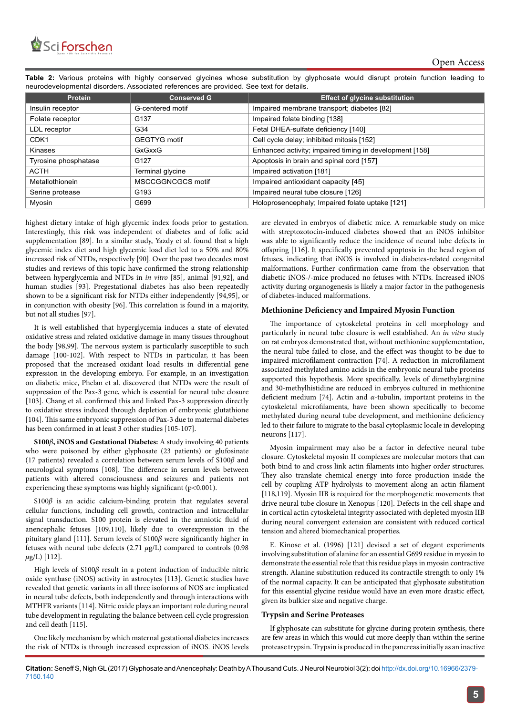

**Table 2:** Various proteins with highly conserved glycines whose substitution by glyphosate would disrupt protein function leading to neurodevelopmental disorders. Associated references are provided. See text for details.

| <b>Protein</b>       | <b>Conserved G</b>  | <b>Effect of glycine substitution</b>                   |
|----------------------|---------------------|---------------------------------------------------------|
| Insulin receptor     | G-centered motif    | Impaired membrane transport, diabetes [82]              |
| Folate receptor      | G <sub>137</sub>    | Impaired folate binding [138]                           |
| LDL receptor         | G34                 | Fetal DHEA-sulfate deficiency [140]                     |
| CDK <sub>1</sub>     | <b>GEGTYG motif</b> | Cell cycle delay; inhibited mitosis [152]               |
| Kinases              | GxGxxG              | Enhanced activity; impaired timing in development [158] |
| Tyrosine phosphatase | G <sub>127</sub>    | Apoptosis in brain and spinal cord [157]                |
| ACTH                 | Terminal glycine    | Impaired activation [181]                               |
| Metallothionein      | MSCCGGNCGCS motif   | Impaired antioxidant capacity [45]                      |
| Serine protease      | G <sub>193</sub>    | Impaired neural tube closure [126]                      |
| Myosin               | G699                | Holoprosencephaly; Impaired folate uptake [121]         |

highest dietary intake of high glycemic index foods prior to gestation. Interestingly, this risk was independent of diabetes and of folic acid supplementation [89]. In a similar study, Yazdy et al. found that a high glycemic index diet and high glycemic load diet led to a 50% and 80% increased risk of NTDs, respectively [90]. Over the past two decades most studies and reviews of this topic have confirmed the strong relationship between hyperglycemia and NTDs in *in vitro* [85], animal [91,92], and human studies [93]. Pregestational diabetes has also been repeatedly shown to be a significant risk for NTDs either independently [94,95], or in conjunction with obesity [96]. This correlation is found in a majority, but not all studies [97].

It is well established that hyperglycemia induces a state of elevated oxidative stress and related oxidative damage in many tissues throughout the body [98,99]. The nervous system is particularly susceptible to such damage [100-102]. With respect to NTDs in particular, it has been proposed that the increased oxidant load results in differential gene expression in the developing embryo. For example, in an investigation on diabetic mice, Phelan et al. discovered that NTDs were the result of suppression of the Pax-3 gene, which is essential for neural tube closure [103]. Chang et al. confirmed this and linked Pax-3 suppression directly to oxidative stress induced through depletion of embryonic glutathione [104]. This same embryonic suppression of Pax-3 due to maternal diabetes has been confirmed in at least 3 other studies [105-107].

**S100***β***, iNOS and Gestational Diabetes:** A study involving 40 patients who were poisoned by either glyphosate (23 patients) or glufosinate (17 patients) revealed a correlation between serum levels of S100*β* and neurological symptoms [108]. The difference in serum levels between patients with altered consciousness and seizures and patients not experiencing these symptoms was highly significant (p*<*0.001).

S100*β* is an acidic calcium-binding protein that regulates several cellular functions, including cell growth, contraction and intracellular signal transduction. S100 protein is elevated in the amniotic fluid of anencephalic fetuses [109,110], likely due to overexpression in the pituitary gland [111]. Serum levels of S100*β* were significantly higher in fetuses with neural tube defects (2.71 *µ*g/L) compared to controls (0.98 *µ*g/L) [112].

High levels of S100*β* result in a potent induction of inducible nitric oxide synthase (iNOS) activity in astrocytes [113]. Genetic studies have revealed that genetic variants in all three isoforms of NOS are implicated in neural tube defects, both independently and through interactions with MTHFR variants [114]. Nitric oxide plays an important role during neural tube development in regulating the balance between cell cycle progression and cell death [115].

One likely mechanism by which maternal gestational diabetes increases the risk of NTDs is through increased expression of iNOS. iNOS levels are elevated in embryos of diabetic mice. A remarkable study on mice with streptozotocin-induced diabetes showed that an iNOS inhibitor was able to significantly reduce the incidence of neural tube defects in offspring [116]. It specifically prevented apoptosis in the head region of fetuses, indicating that iNOS is involved in diabetes-related congenital malformations. Further confirmation came from the observation that diabetic iNOS-/-mice produced no fetuses with NTDs. Increased iNOS activity during organogenesis is likely a major factor in the pathogenesis of diabetes-induced malformations.

#### **Methionine Deficiency and Impaired Myosin Function**

The importance of cytoskeletal proteins in cell morphology and particularly in neural tube closure is well established. An *in vitro* study on rat embryos demonstrated that, without methionine supplementation, the neural tube failed to close, and the effect was thought to be due to impaired microfilament contraction [74]. A reduction in microfilament associated methylated amino acids in the embryonic neural tube proteins supported this hypothesis. More specifically, levels of dimethylarginine and 30-methylhistidine are reduced in embryos cultured in methionine deficient medium [74]. Actin and *α*-tubulin, important proteins in the cytoskeletal microfilaments, have been shown specifically to become methylated during neural tube development, and methionine deficiency led to their failure to migrate to the basal cytoplasmic locale in developing neurons [117].

Myosin impairment may also be a factor in defective neural tube closure. Cytoskeletal myosin II complexes are molecular motors that can both bind to and cross link actin filaments into higher order structures. They also translate chemical energy into force production inside the cell by coupling ATP hydrolysis to movement along an actin filament [118,119]. Myosin IIB is required for the morphogenetic movements that drive neural tube closure in Xenopus [120]. Defects in the cell shape and in cortical actin cytoskeletal integrity associated with depleted myosin IIB during neural convergent extension are consistent with reduced cortical tension and altered biomechanical properties.

E. Kinose et al. (1996) [121] devised a set of elegant experiments involving substitution of alanine for an essential G699 residue in myosin to demonstrate the essential role that this residue plays in myosin contractive strength. Alanine substitution reduced its contractile strength to only 1% of the normal capacity. It can be anticipated that glyphosate substitution for this essential glycine residue would have an even more drastic effect, given its bulkier size and negative charge.

#### **Trypsin and Serine Proteases**

If glyphosate can substitute for glycine during protein synthesis, there are few areas in which this would cut more deeply than within the serine protease trypsin. Trypsin is produced in the pancreas initially as an inactive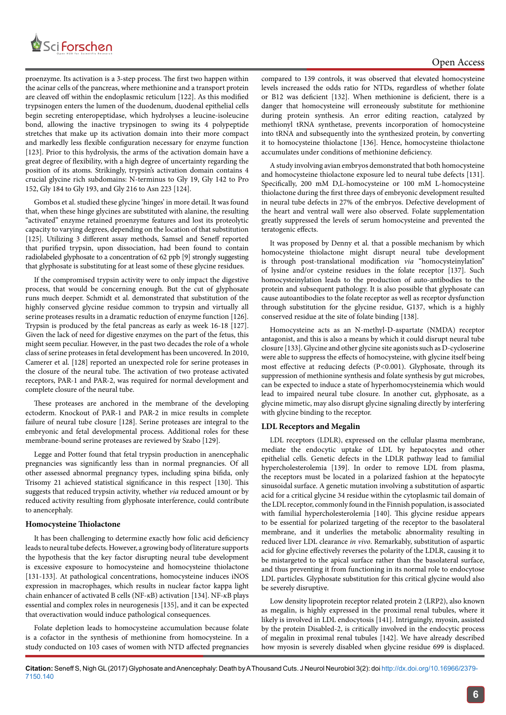

#### Open Access

proenzyme. Its activation is a 3-step process. The first two happen within the acinar cells of the pancreas, where methionine and a transport protein are cleaved off within the endoplasmic reticulum [122]. As this modified trypsinogen enters the lumen of the duodenum, duodenal epithelial cells begin secreting enteropeptidase, which hydrolyses a leucine-isoleucine bond, allowing the inactive trypsinogen to swing its 4 polypeptide stretches that make up its activation domain into their more compact and markedly less flexible configuration necessary for enzyme function [123]. Prior to this hydrolysis, the arms of the activation domain have a great degree of flexibility, with a high degree of uncertainty regarding the position of its atoms. Strikingly, trypsin's activation domain contains 4 crucial glycine rich subdomains: N-terminus to Gly 19, Gly 142 to Pro 152, Gly 184 to Gly 193, and Gly 216 to Asn 223 [124].

Gombos et al. studied these glycine 'hinges' in more detail. It was found that, when these hinge glycines are substituted with alanine, the resulting "activated" enzyme retained proenzyme features and lost its proteolytic capacity to varying degrees, depending on the location of that substitution [125]. Utilizing 3 different assay methods, Samsel and Seneff reported that purified trypsin, upon dissociation, had been found to contain radiolabeled glyphosate to a concentration of 62 ppb [9] strongly suggesting that glyphosate is substituting for at least some of these glycine residues.

If the compromised trypsin activity were to only impact the digestive process, that would be concerning enough. But the cut of glyphosate runs much deeper. Schmidt et al. demonstrated that substitution of the highly conserved glycine residue common to trypsin and virtually all serine proteases results in a dramatic reduction of enzyme function [126]. Trypsin is produced by the fetal pancreas as early as week 16-18 [127]. Given the lack of need for digestive enzymes on the part of the fetus, this might seem peculiar. However, in the past two decades the role of a whole class of serine proteases in fetal development has been uncovered. In 2010, Camerer et al. [128] reported an unexpected role for serine proteases in the closure of the neural tube. The activation of two protease activated receptors, PAR-1 and PAR-2, was required for normal development and complete closure of the neural tube.

These proteases are anchored in the membrane of the developing ectoderm. Knockout of PAR-1 and PAR-2 in mice results in complete failure of neural tube closure [128]. Serine proteases are integral to the embryonic and fetal developmental process. Additional roles for these membrane-bound serine proteases are reviewed by Szabo [129].

Legge and Potter found that fetal trypsin production in anencephalic pregnancies was significantly less than in normal pregnancies. Of all other assessed abnormal pregnancy types, including spina bifida, only Trisomy 21 achieved statistical significance in this respect [130]. This suggests that reduced trypsin activity, whether *via* reduced amount or by reduced activity resulting from glyphosate interference, could contribute to anencephaly.

#### **Homocysteine Thiolactone**

It has been challenging to determine exactly how folic acid deficiency leads to neural tube defects. However, a growing body of literature supports the hypothesis that the key factor disrupting neural tube development is excessive exposure to homocysteine and homocysteine thiolactone [131-133]. At pathological concentrations, homocysteine induces iNOS expression in macrophages, which results in nuclear factor kappa light chain enhancer of activated B cells (NF-*κ*B) activation [134]. NF-*κ*B plays essential and complex roles in neurogenesis [135], and it can be expected that overactivation would induce pathological consequences.

Folate depletion leads to homocysteine accumulation because folate is a cofactor in the synthesis of methionine from homocysteine. In a study conducted on 103 cases of women with NTD affected pregnancies compared to 139 controls, it was observed that elevated homocysteine levels increased the odds ratio for NTDs, regardless of whether folate or B12 was deficient [132]. When methionine is deficient, there is a danger that homocysteine will erroneously substitute for methionine during protein synthesis. An error editing reaction, catalyzed by methionyl tRNA synthetase, prevents incorporation of homocysteine into tRNA and subsequently into the synthesized protein, by converting it to homocysteine thiolactone [136]. Hence, homocysteine thiolactone accumulates under conditions of methionine deficiency.

A study involving avian embryos demonstrated that both homocysteine and homocysteine thiolactone exposure led to neural tube defects [131]. Specifically, 200 mM D,L-homocysteine or 100 mM L-homocysteine thiolactone during the first three days of embryonic development resulted in neural tube defects in 27% of the embryos. Defective development of the heart and ventral wall were also observed. Folate supplementation greatly suppressed the levels of serum homocysteine and prevented the teratogenic effects.

It was proposed by Denny et al*.* that a possible mechanism by which homocysteine thiolactone might disrupt neural tube development is through post-translational modification *via* "homocysteinylation" of lysine and/or cysteine residues in the folate receptor [137]. Such homocysteinylation leads to the production of auto-antibodies to the protein and subsequent pathology. It is also possible that glyphosate can cause autoantibodies to the folate receptor as well as receptor dysfunction through substitution for the glycine residue, G137, which is a highly conserved residue at the site of folate binding [138].

Homocysteine acts as an N-methyl-D-aspartate (NMDA) receptor antagonist, and this is also a means by which it could disrupt neural tube closure [133]. Glycine and other glycine site agonists such as D-cycloserine were able to suppress the effects of homocysteine, with glycine itself being most effective at reducing defects (P*<*0.001). Glyphosate, through its suppression of methionine synthesis and folate synthesis by gut microbes, can be expected to induce a state of hyperhomocysteinemia which would lead to impaired neural tube closure. In another cut, glyphosate, as a glycine mimetic, may also disrupt glycine signaling directly by interfering with glycine binding to the receptor.

#### **LDL Receptors and Megalin**

LDL receptors (LDLR), expressed on the cellular plasma membrane, mediate the endocytic uptake of LDL by hepatocytes and other epithelial cells. Genetic defects in the LDLR pathway lead to familial hypercholesterolemia [139]. In order to remove LDL from plasma, the receptors must be located in a polarized fashion at the hepatocyte sinusoidal surface. A genetic mutation involving a substitution of aspartic acid for a critical glycine 34 residue within the cytoplasmic tail domain of the LDL receptor, commonly found in the Finnish population, is associated with familial hypercholesterolemia [140]. This glycine residue appears to be essential for polarized targeting of the receptor to the basolateral membrane, and it underlies the metabolic abnormality resulting in reduced liver LDL clearance *in vivo*. Remarkably, substitution of aspartic acid for glycine effectively reverses the polarity of the LDLR, causing it to be mistargeted to the apical surface rather than the basolateral surface, and thus preventing it from functioning in its normal role to endocytose LDL particles. Glyphosate substitution for this critical glycine would also be severely disruptive.

Low density lipoprotein receptor related protein 2 (LRP2), also known as megalin, is highly expressed in the proximal renal tubules, where it likely is involved in LDL endocytosis [141]. Intriguingly, myosin, assisted by the protein Disabled-2, is critically involved in the endocytic process of megalin in proximal renal tubules [142]. We have already described how myosin is severely disabled when glycine residue 699 is displaced.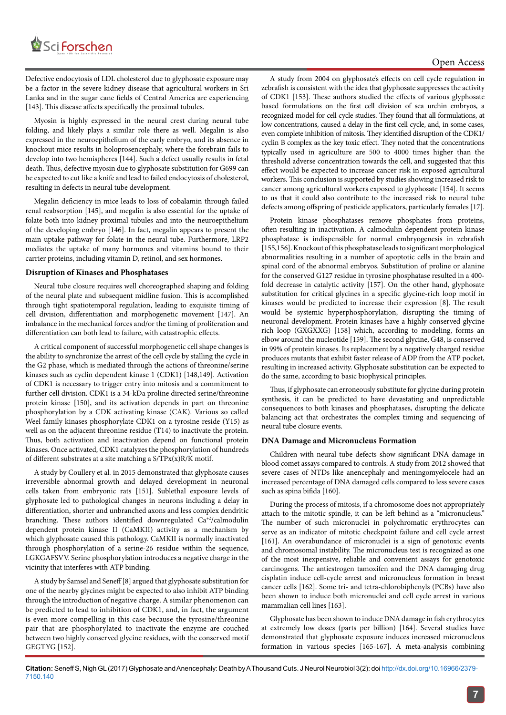

Defective endocytosis of LDL cholesterol due to glyphosate exposure may be a factor in the severe kidney disease that agricultural workers in Sri Lanka and in the sugar cane fields of Central America are experiencing [143]. This disease affects specifically the proximal tubules.

Myosin is highly expressed in the neural crest during neural tube folding, and likely plays a similar role there as well. Megalin is also expressed in the neuroepithelium of the early embryo, and its absence in knockout mice results in holoprosencephaly, where the forebrain fails to develop into two hemispheres [144]. Such a defect usually results in fetal death. Thus, defective myosin due to glyphosate substitution for G699 can be expected to cut like a knife and lead to failed endocytosis of cholesterol, resulting in defects in neural tube development.

Megalin deficiency in mice leads to loss of cobalamin through failed renal reabsorption [145], and megalin is also essential for the uptake of folate both into kidney proximal tubules and into the neuroepithelium of the developing embryo [146]. In fact, megalin appears to present the main uptake pathway for folate in the neural tube. Furthermore, LRP2 mediates the uptake of many hormones and vitamins bound to their carrier proteins, including vitamin D, retinol, and sex hormones.

#### **Disruption of Kinases and Phosphatases**

Neural tube closure requires well choreographed shaping and folding of the neural plate and subsequent midline fusion. This is accomplished through tight spatiotemporal regulation, leading to exquisite timing of cell division, differentiation and morphogenetic movement [147]. An imbalance in the mechanical forces and/or the timing of proliferation and differentiation can both lead to failure, with catastrophic effects.

A critical component of successful morphogenetic cell shape changes is the ability to synchronize the arrest of the cell cycle by stalling the cycle in the G2 phase, which is mediated through the actions of threonine/serine kinases such as cyclin dependent kinase 1 (CDK1) [148,149]. Activation of CDK1 is necessary to trigger entry into mitosis and a commitment to further cell division. CDK1 is a 34-kDa proline directed serine/threonine protein kinase [150], and its activation depends in part on threonine phosphorylation by a CDK activating kinase (CAK). Various so called Weel family kinases phosphorylate CDK1 on a tyrosine reside (Y15) as well as on the adjacent threonine residue (T14) to inactivate the protein. Thus, both activation and inactivation depend on functional protein kinases. Once activated, CDK1 catalyzes the phosphorylation of hundreds of different substrates at a site matching a S/TPx(x)R/K motif.

A study by Coullery et al*.* in 2015 demonstrated that glyphosate causes irreversible abnormal growth and delayed development in neuronal cells taken from embryonic rats [151]. Sublethal exposure levels of glyphosate led to pathological changes in neurons including a delay in differentiation, shorter and unbranched axons and less complex dendritic branching. These authors identified downregulated Ca<sup>+2</sup>/calmodulin dependent protein kinase II (CaMKII) activity as a mechanism by which glyphosate caused this pathology. CaMKII is normally inactivated through phosphorylation of a serine-26 residue within the sequence, LGKGAFSVV. Serine phosphorylation introduces a negative charge in the vicinity that interferes with ATP binding.

A study by Samsel and Seneff [8] argued that glyphosate substitution for one of the nearby glycines might be expected to also inhibit ATP binding through the introduction of negative charge. A similar phenomenon can be predicted to lead to inhibition of CDK1, and, in fact, the argument is even more compelling in this case because the tyrosine/threonine pair that are phosphorylated to inactivate the enzyme are couched between two highly conserved glycine residues, with the conserved motif GEGTYG [152].

A study from 2004 on glyphosate's effects on cell cycle regulation in zebrafish is consistent with the idea that glyphosate suppresses the activity of CDK1 [153]. These authors studied the effects of various glyphosate based formulations on the first cell division of sea urchin embryos, a recognized model for cell cycle studies. They found that all formulations, at low concentrations, caused a delay in the first cell cycle, and, in some cases, even complete inhibition of mitosis. They identified disruption of the CDK1/ cyclin B complex as the key toxic effect. They noted that the concentrations typically used in agriculture are 500 to 4000 times higher than the threshold adverse concentration towards the cell, and suggested that this effect would be expected to increase cancer risk in exposed agricultural workers. This conclusion is supported by studies showing increased risk to cancer among agricultural workers exposed to glyphosate [154]. It seems to us that it could also contribute to the increased risk to neural tube defects among offspring of pesticide applicators, particularly females [17].

Protein kinase phosphatases remove phosphates from proteins, often resulting in inactivation. A calmodulin dependent protein kinase phosphatase is indispensible for normal embryogenesis in zebrafish [155,156]. Knockout of this phosphatase leads to significant morphological abnormalities resulting in a number of apoptotic cells in the brain and spinal cord of the abnormal embryos. Substitution of proline or alanine for the conserved G127 residue in tyrosine phosphatase resulted in a 400 fold decrease in catalytic activity [157]. On the other hand, glyphosate substitution for critical glycines in a specific glycine-rich loop motif in kinases would be predicted to increase their expression [8]. The result would be systemic hyperphosphorylation, disrupting the timing of neuronal development. Protein kinases have a highly conserved glycine rich loop (GXGXXG) [158] which, according to modeling, forms an elbow around the nucleotide [159]. The second glycine, G48, is conserved in 99% of protein kinases. Its replacement by a negatively charged residue produces mutants that exhibit faster release of ADP from the ATP pocket, resulting in increased activity. Glyphosate substitution can be expected to do the same, according to basic biophysical principles.

Thus, if glyphosate can erroneously substitute for glycine during protein synthesis, it can be predicted to have devastating and unpredictable consequences to both kinases and phosphatases, disrupting the delicate balancing act that orchestrates the complex timing and sequencing of neural tube closure events.

#### **DNA Damage and Micronucleus Formation**

Children with neural tube defects show significant DNA damage in blood comet assays compared to controls. A study from 2012 showed that severe cases of NTDs like anencephaly and meningomyelocele had an increased percentage of DNA damaged cells compared to less severe cases such as spina bifida [160].

During the process of mitosis, if a chromosome does not appropriately attach to the mitotic spindle, it can be left behind as a "micronucleus." The number of such micronuclei in polychromatic erythrocytes can serve as an indicator of mitotic checkpoint failure and cell cycle arrest [161]. An overabundance of micronuclei is a sign of genotoxic events and chromosomal instability. The micronucleus test is recognized as one of the most inexpensive, reliable and convenient assays for genotoxic carcinogens. The antiestrogen tamoxifen and the DNA damaging drug cisplatin induce cell-cycle arrest and micronucleus formation in breast cancer cells [162]. Some tri- and tetra-chlorobiphenyls (PCBs) have also been shown to induce both micronuclei and cell cycle arrest in various mammalian cell lines [163].

Glyphosate has been shown to induce DNA damage in fish erythrocytes at extremely low doses (parts per billion) [164]. Several studies have demonstrated that glyphosate exposure induces increased micronucleus formation in various species [165-167]. A meta-analysis combining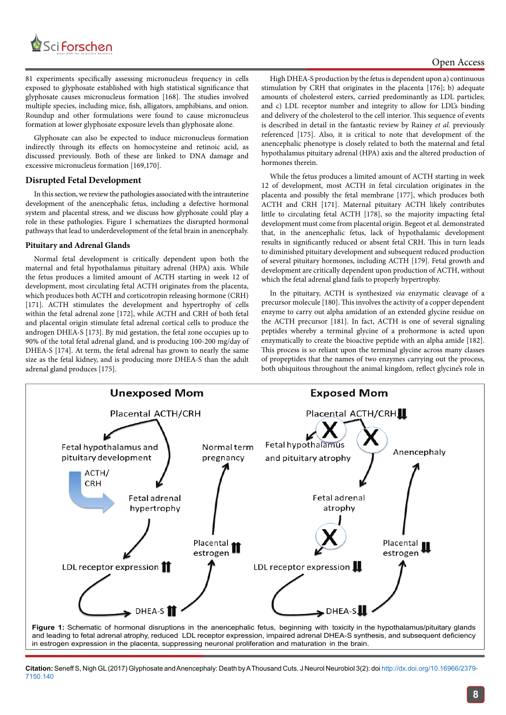

81 experiments specifically assessing micronucleus frequency in cells exposed to glyphosate established with high statistical significance that glyphosate causes micronucleus formation [168]. The studies involved multiple species, including mice, fish, alligators, amphibians, and onion. Roundup and other formulations were found to cause micronucleus formation at lower glyphosate exposure levels than glyphosate alone.

Glyphosate can also be expected to induce micronucleus formation indirectly through its effects on homocysteine and retinoic acid, as discussed previously. Both of these are linked to DNA damage and excessive micronucleus formation [169,170].

#### **Disrupted Fetal Development**

In this section, we review the pathologies associated with the intrauterine development of the anencephalic fetus, including a defective hormonal system and placental stress, and we discuss how glyphosate could play a role in these pathologies. Figure 1 schematizes the disrupted hormonal pathways that lead to underdevelopment of the fetal brain in anencephaly.

#### **Pituitary and Adrenal Glands**

Normal fetal development is critically dependent upon both the maternal and fetal hypothalamus pituitary adrenal (HPA) axis. While the fetus produces a limited amount of ACTH starting in week 12 of development, most circulating fetal ACTH originates from the placenta, which produces both ACTH and corticotropin releasing hormone (CRH) [171]. ACTH stimulates the development and hypertrophy of cells within the fetal adrenal zone [172], while ACTH and CRH of both fetal and placental origin stimulate fetal adrenal cortical cells to produce the androgen DHEA-S [173]. By mid gestation, the fetal zone occupies up to 90% of the total fetal adrenal gland, and is producing 100-200 mg/day of DHEA-S [174]. At term, the fetal adrenal has grown to nearly the same size as the fetal kidney, and is producing more DHEA-S than the adult adrenal gland produces [175].

High DHEA-S production by the fetus is dependent upon a) continuous stimulation by CRH that originates in the placenta [176]; b) adequate amounts of cholesterol esters, carried predominantly as LDL particles; and c) LDL receptor number and integrity to allow for LDL's binding and delivery of the cholesterol to the cell interior. This sequence of events is described in detail in the fantastic review by Rainey *et al.* previously referenced [175]. Also, it is critical to note that development of the anencephalic phenotype is closely related to both the maternal and fetal hypothalamus pituitary adrenal (HPA) axis and the altered production of hormones therein.

While the fetus produces a limited amount of ACTH starting in week 12 of development, most ACTH in fetal circulation originates in the placenta and possibly the fetal membrane [177], which produces both ACTH and CRH [171]. Maternal pituitary ACTH likely contributes little to circulating fetal ACTH [178], so the majority impacting fetal development must come from placental origin. Begeot et al. demonstrated that, in the anencephalic fetus, lack of hypothalamic development results in significantly reduced or absent fetal CRH. This in turn leads to diminished pituitary development and subsequent reduced production of several pituitary hormones, including ACTH [179]. Fetal growth and development are critically dependent upon production of ACTH, without which the fetal adrenal gland fails to properly hypertrophy.

In the pituitary, ACTH is synthesized *via* enzymatic cleavage of a precursor molecule [180]. This involves the activity of a copper dependent enzyme to carry out alpha amidation of an extended glycine residue on the ACTH precursor [181]. In fact, ACTH is one of several signaling peptides whereby a terminal glycine of a prohormone is acted upon enzymatically to create the bioactive peptide with an alpha amide [182]. This process is so reliant upon the terminal glycine across many classes of propeptides that the names of two enzymes carrying out the process, both ubiquitous throughout the animal kingdom, reflect glycine's role in



and leading to fetal adrenal atrophy, reduced LDL receptor expression, impaired adrenal DHEA-S synthesis, and subsequent deficiency in estrogen expression in the placenta, suppressing neuronal proliferation and maturation in the brain.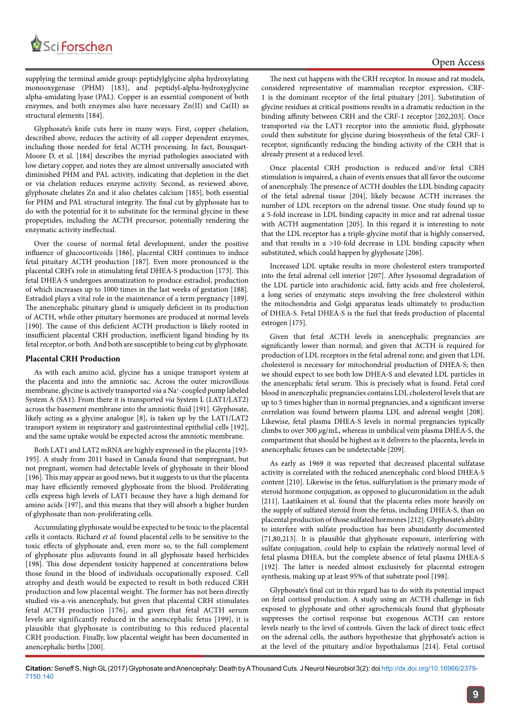

supplying the terminal amide group: peptidylglycine alpha hydroxylating monooxygenase (PHM) [183], and peptidyl-alpha-hydroxyglycine alpha-amidating lyase (PAL). Copper is an essential component of both enzymes, and both enzymes also have necessary Zn(II) and Ca(II) as structural elements [184].

Glyphosate's knife cuts here in many ways. First, copper chelation, described above, reduces the activity of all copper dependent enzymes, including those needed for fetal ACTH processing. In fact, Bousquet-Moore D, et al. [184] describes the myriad pathologies associated with low dietary copper, and notes they are almost universally associated with diminished PHM and PAL activity, indicating that depletion in the diet or via chelation reduces enzyme activity. Second, as reviewed above, glyphosate chelates Zn and it also chelates calcium [185], both essential for PHM and PAL structural integrity. The final cut by glyphosate has to do with the potential for it to substitute for the terminal glycine in these propeptides, including the ACTH precursor, potentially rendering the enzymatic activity ineffectual.

Over the course of normal fetal development, under the positive influence of glucocorticoids [186], placental CRH continues to induce fetal pituitary ACTH production [187]. Even more pronounced is the placental CRH's role in stimulating fetal DHEA-S production [173]. This fetal DHEA-S undergoes aromatization to produce estradiol, production of which increases up to 1000 times in the last weeks of gestation [188]. Estradiol plays a vital role in the maintenance of a term pregnancy [189]. The anencephalic pituitary gland is uniquely deficient in its production of ACTH, while other pituitary hormones are produced at normal levels [190]. The cause of this deficient ACTH production is likely rooted in insufficient placental CRH production, inefficient ligand binding by its fetal receptor, or both. And both are susceptible to being cut by glyphosate.

#### **Placental CRH Production**

As with each amino acid, glycine has a unique transport system at the placenta and into the amniotic sac. Across the outer microvillous membrane, glycine is actively transported *via* a Na<sup>+</sup>-coupled pump labeled System A (SA1). From there it is transported *via* System L (LAT1/LAT2) across the basement membrane into the amniotic fluid [191]. Glyphosate, likely acting as a glycine analogue [8], is taken up by the LAT1/LAT2 transport system in respiratory and gastrointestinal epithelial cells [192], and the same uptake would be expected across the amniotic membrane.

Both LAT1 and LAT2 mRNA are highly expressed in the placenta [193- 195]. A study from 2011 based in Canada found that nonpregnant, but not pregnant, women had detectable levels of glyphosate in their blood [196]. This may appear as good news, but it suggests to us that the placenta may have efficiently removed glyphosate from the blood. Proliferating cells express high levels of LAT1 because they have a high demand for amino acids [197], and this means that they will absorb a higher burden of glyphosate than non-proliferating cells.

Accumulating glyphosate would be expected to be toxic to the placental cells it contacts. Richard *et al.* found placental cells to be sensitive to the toxic effects of glyphosate and, even more so, to the full complement of glyphosate plus adjuvants found in all glyphosate based herbicides [198]. This dose dependent toxicity happened at concentrations below those found in the blood of individuals occupationally exposed. Cell atrophy and death would be expected to result in both reduced CRH production and low placental weight. The former has not been directly studied vis-a-vis anencephaly, but given that placental CRH stimulates fetal ACTH production [176], and given that fetal ACTH serum levels are significantly reduced in the anencephalic fetus [199], it is plausible that glyphosate is contributing to this reduced placental CRH production. Finally, low placental weight has been documented in anencephalic births [200].

The next cut happens with the CRH receptor. In mouse and rat models, considered representative of mammalian receptor expression, CRF-1 is the dominant receptor of the fetal pituitary [201]. Substitution of glycine residues at critical positions results in a dramatic reduction in the binding affinity between CRH and the CRF-1 receptor [202,203]. Once transported *via* the LAT1 receptor into the amniotic fluid, glyphosate could then substitute for glycine during biosynthesis of the fetal CRF-1 receptor, significantly reducing the binding activity of the CRH that is already present at a reduced level.

Once placental CRH production is reduced and/or fetal CRH stimulation is impaired, a chain of events ensues that all favor the outcome of anencephaly. The presence of ACTH doubles the LDL binding capacity of the fetal adrenal tissue [204], likely because ACTH increases the number of LDL receptors on the adrenal tissue. One study found up to a 5-fold increase in LDL binding capacity in mice and rat adrenal tissue with ACTH augmentation [205]. In this regard it is interesting to note that the LDL receptor has a triple-glycine motif that is highly conserved, and that results in a *>*10-fold decrease in LDL binding capacity when substituted, which could happen by glyphosate [206].

Increased LDL uptake results in more cholesterol esters transported into the fetal adrenal cell interior [207]. After lysosomal degradation of the LDL particle into arachidonic acid, fatty acids and free cholesterol, a long series of enzymatic steps involving the free cholesterol within the mitochondria and Golgi apparatus leads ultimately to production of DHEA-S. Fetal DHEA-S is the fuel that feeds production of placental estrogen [175].

Given that fetal ACTH levels in anencephalic pregnancies are significantly lower than normal; and given that ACTH is required for production of LDL receptors in the fetal adrenal zone; and given that LDL cholesterol is necessary for mitochondrial production of DHEA-S; then we should expect to see both low DHEA-S and elevated LDL particles in the anencephalic fetal serum. This is precisely what is found. Fetal cord blood in anencephalic pregnancies contains LDL cholesterol levels that are up to 5 times higher than in normal pregnancies, and a significant inverse correlation was found between plasma LDL and adrenal weight [208]. Likewise, fetal plasma DHEA-S levels in normal pregnancies typically climbs to over 300 *µ*g/mL, whereas in umbilical vein plasma DHEA-S, the compartment that should be highest as it delivers to the placenta, levels in anencephalic fetuses can be undetectable [209].

As early as 1969 it was reported that decreased placental sulfatase activity is correlated with the reduced anencephalic cord blood DHEA-S content [210]. Likewise in the fetus, sulfurylation is the primary mode of steroid hormone conjugation, as opposed to glucuronidation in the adult [211]. Laatikainen et al. found that the placenta relies more heavily on the supply of sulfated steroid from the fetus, including DHEA-S, than on placental production of those sulfated hormones [212]. Glyphosate's ability to interfere with sulfate production has been abundantly documented [71,80,213]. It is plausible that glyphosate exposure, interfering with sulfate conjugation, could help to explain the relatively normal level of fetal plasma DHEA, but the complete absence of fetal plasma DHEA-S [192]. The latter is needed almost exclusively for placental estrogen synthesis, making up at least 95% of that substrate pool [198].

Glyphosate's final cut in this regard has to do with its potential impact on fetal cortisol production. A study using an ACTH challenge in fish exposed to glyphosate and other agrochemicals found that glyphosate suppresses the cortisol response but exogenous ACTH can restore levels nearly to the level of controls. Given the lack of direct toxic effect on the adrenal cells, the authors hypothesize that glyphosate's action is at the level of the pituitary and/or hypothalamus [214]. Fetal cortisol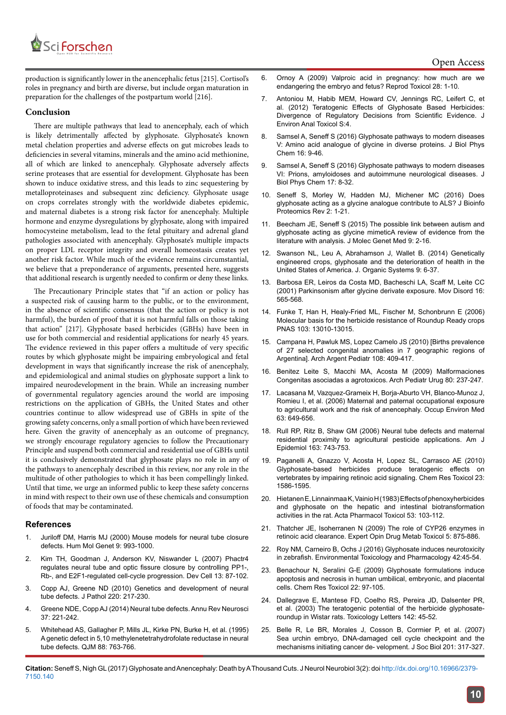

production is significantly lower in the anencephalic fetus [215]. Cortisol's roles in pregnancy and birth are diverse, but include organ maturation in preparation for the challenges of the postpartum world [216].

#### **Conclusion**

There are multiple pathways that lead to anencephaly, each of which is likely detrimentally affected by glyphosate. Glyphosate's known metal chelation properties and adverse effects on gut microbes leads to deficiencies in several vitamins, minerals and the amino acid methionine, all of which are linked to anencephaly. Glyphosate adversely affects serine proteases that are essential for development. Glyphosate has been shown to induce oxidative stress, and this leads to zinc sequestering by metalloproteinases and subsequent zinc deficiency. Glyphosate usage on crops correlates strongly with the worldwide diabetes epidemic, and maternal diabetes is a strong risk factor for anencephaly. Multiple hormone and enzyme dysregulations by glyphosate, along with impaired homocysteine metabolism, lead to the fetal pituitary and adrenal gland pathologies associated with anencephaly. Glyphosate's multiple impacts on proper LDL receptor integrity and overall homeostasis creates yet another risk factor. While much of the evidence remains circumstantial, we believe that a preponderance of arguments, presented here, suggests that additional research is urgently needed to confirm or deny these links.

The Precautionary Principle states that "if an action or policy has a suspected risk of causing harm to the public, or to the environment, in the absence of scientific consensus (that the action or policy is not harmful), the burden of proof that it is not harmful falls on those taking that action" [217]. Glyphosate based herbicides (GBHs) have been in use for both commercial and residential applications for nearly 45 years. The evidence reviewed in this paper offers a multitude of very specific routes by which glyphosate might be impairing embryological and fetal development in ways that significantly increase the risk of anencephaly, and epidemiological and animal studies on glyphosate support a link to impaired neurodevelopment in the brain. While an increasing number of governmental regulatory agencies around the world are imposing restrictions on the application of GBHs, the United States and other countries continue to allow widespread use of GBHs in spite of the growing safety concerns, only a small portion of which have been reviewed here. Given the gravity of anencephaly as an outcome of pregnancy, we strongly encourage regulatory agencies to follow the Precautionary Principle and suspend both commercial and residential use of GBHs until it is conclusively demonstrated that glyphosate plays no role in any of the pathways to anencephaly described in this review, nor any role in the multitude of other pathologies to which it has been compellingly linked. Until that time, we urge an informed public to keep these safety concerns in mind with respect to their own use of these chemicals and consumption of foods that may be contaminated.

#### **References**

- 1. [Juriloff DM, Harris MJ \(2000\) Mouse models for neural tube closure](https://academic.oup.com/hmg/article-lookup/doi/10.1093/hmg/9.6.993)  [defects. Hum Mol Genet 9: 993-1000](https://academic.oup.com/hmg/article-lookup/doi/10.1093/hmg/9.6.993).
- 2. [Kim TH, Goodman J, Anderson KV, Niswander L \(2007\) Phactr4](http://www.cell.com/developmental-cell/fulltext/S1534-5807(07)00179-7?_returnURL=http%3A%2F%2Flinkinghub.elsevier.com%2Fretrieve%2Fpii%2FS1534580707001797%3Fshowall%3Dtrue)  [regulates neural tube and optic fissure closure by controlling PP1-,](http://www.cell.com/developmental-cell/fulltext/S1534-5807(07)00179-7?_returnURL=http%3A%2F%2Flinkinghub.elsevier.com%2Fretrieve%2Fpii%2FS1534580707001797%3Fshowall%3Dtrue)  [Rb-, and E2F1-regulated cell-cycle progression. Dev Cell 13: 87-102.](http://www.cell.com/developmental-cell/fulltext/S1534-5807(07)00179-7?_returnURL=http%3A%2F%2Flinkinghub.elsevier.com%2Fretrieve%2Fpii%2FS1534580707001797%3Fshowall%3Dtrue)
- 3. [Copp AJ, Greene ND \(2010\) Genetics and development of neural](https://www.ncbi.nlm.nih.gov/pubmed/19918803)  [tube defects. J Pathol 220: 217-230](https://www.ncbi.nlm.nih.gov/pubmed/19918803).
- 4. [Greene NDE, Copp AJ \(2014\) Neural tube defects. Annu Rev Neurosci](http://www.annualreviews.org/doi/abs/10.1146/annurev-neuro-062012-170354?journalCode=neuro)  [37: 221-242.](http://www.annualreviews.org/doi/abs/10.1146/annurev-neuro-062012-170354?journalCode=neuro)
- 5. [Whitehead AS, Gallagher P, Mills JL, Kirke PN, Burke H, et al. \(1995\)](https://www.researchgate.net/publication/14658767_A_genetic_defect_in_510_methylenetetrahydrofolate_reductase_in_neural_tube_defects)  [A genetic defect in 5,10 methylenetetrahydrofolate reductase in neural](https://www.researchgate.net/publication/14658767_A_genetic_defect_in_510_methylenetetrahydrofolate_reductase_in_neural_tube_defects)  [tube defects. QJM 88: 763-766.](https://www.researchgate.net/publication/14658767_A_genetic_defect_in_510_methylenetetrahydrofolate_reductase_in_neural_tube_defects)
- 6. [Ornoy A \(2009\) Valproic acid in pregnancy: how much are we](http://www.medscape.com/medline/abstract/19490988) [endangering the embryo and fetus? Reprod Toxicol 28: 1-10.](http://www.medscape.com/medline/abstract/19490988)
- 7. [Antoniou M, Habib MEM, Howard CV, Jennings RC, Leifert C, et](http://earthopensource.org/wp-content/uploads/Antoniou-Teratogenic-Effects-of-Glyphosate-Based-Herbicides.pdf) [al. \(2012\) Teratogenic Effects of Glyphosate Based Herbicides:](http://earthopensource.org/wp-content/uploads/Antoniou-Teratogenic-Effects-of-Glyphosate-Based-Herbicides.pdf) [Divergence of Regulatory Decisions from Scientific Evidence. J](http://earthopensource.org/wp-content/uploads/Antoniou-Teratogenic-Effects-of-Glyphosate-Based-Herbicides.pdf) [Environ Anal Toxicol S:4.](http://earthopensource.org/wp-content/uploads/Antoniou-Teratogenic-Effects-of-Glyphosate-Based-Herbicides.pdf)
- 8. [Samsel A, Seneff S \(2016\) Glyphosate pathways to modern diseases](https://people.csail.mit.edu/seneff/2016/Glyphosate_V_glycine_analogue_2016.pdf) [V: Amino acid analogue of glycine in diverse proteins. J Biol Phys](https://people.csail.mit.edu/seneff/2016/Glyphosate_V_glycine_analogue_2016.pdf) [Chem 16: 9-46.](https://people.csail.mit.edu/seneff/2016/Glyphosate_V_glycine_analogue_2016.pdf)
- 9. Samsel A, Seneff S (2016) Glyphosate pathways to modern diseases VI: Prions, amyloidoses and autoimmune neurological diseases. J Biol Phys Chem 17: 8-32.
- 10. [Seneff S, Morley W, Hadden MJ, Michener MC \(2016\) Does](https://dspace.mit.edu/handle/1721.1/109267) [glyphosate acting as a glycine analogue contribute to ALS? J Bioinfo](https://dspace.mit.edu/handle/1721.1/109267) [Proteomics Rev 2: 1-21.](https://dspace.mit.edu/handle/1721.1/109267)
- 11. Beecham JE, Seneff S (2015) The possible link between autism and glyphosate acting as glycine mimeticA review of evidence from the literature with analysis. J Molec Genet Med 9: 2-16.
- 12. [Swanson NL, Leu A, Abrahamson J, Wallet B. \(2014\) Genetically](http://www.organic-systems.org/journal/92/JOS_Volume-9_Number-2_Nov_2014-Swanson-et-al.pdf) [engineered crops, glyphosate and the deterioration of health in the](http://www.organic-systems.org/journal/92/JOS_Volume-9_Number-2_Nov_2014-Swanson-et-al.pdf) [United States of America. J. Organic Systems 9: 6-37.](http://www.organic-systems.org/journal/92/JOS_Volume-9_Number-2_Nov_2014-Swanson-et-al.pdf)
- 13. [Barbosa ER, Leiros da Costa MD, Bacheschi LA, Scaff M, Leite CC](http://onlinelibrary.wiley.com/doi/10.1002/mds.1105/abstract) [\(2001\) Parkinsonism after glycine derivate exposure. Mov Disord 16:](http://onlinelibrary.wiley.com/doi/10.1002/mds.1105/abstract) [565-568.](http://onlinelibrary.wiley.com/doi/10.1002/mds.1105/abstract)
- 14. [Funke T, Han H, Healy-Fried ML, Fischer M, Schonbrunn E \(2006\)](http://www.pnas.org/content/103/35/13010.full) [Molecular basis for the herbicide resistance of Roundup Ready crops](http://www.pnas.org/content/103/35/13010.full) [PNAS 103: 13010-13015.](http://www.pnas.org/content/103/35/13010.full)
- 15. [Campana H, Pawluk MS, Lopez Camelo JS \(2010\) \[Births prevalence](https://www.ncbi.nlm.nih.gov/pubmed/21132229) [of 27 selected congenital anomalies in 7 geographic regions of](https://www.ncbi.nlm.nih.gov/pubmed/21132229) [Argentina\]. Arch Argent Pediatr 108: 409-417.](https://www.ncbi.nlm.nih.gov/pubmed/21132229)
- 16. [Benitez Leite S, Macchi MA, Acosta M \(2009\) Malformaciones](http://www.scielo.edu.uy/pdf/adp/v80n3/v80n3a12.pdf) [Congenitas asociadas a agrotoxicos. Arch Pediatr Urug 80: 237-247.](http://www.scielo.edu.uy/pdf/adp/v80n3/v80n3a12.pdf)
- 17. [Lacasana M, Vazquez-Grameix H, Borja-Aburto VH, Blanco-Munoz J,](https://www.ncbi.nlm.nih.gov/pmc/articles/PMC2078046/) [Romieu I, et al. \(2006\) Maternal and paternal occupational exposure](https://www.ncbi.nlm.nih.gov/pmc/articles/PMC2078046/) [to agricultural work and the risk of anencephaly. Occup Environ Med](https://www.ncbi.nlm.nih.gov/pmc/articles/PMC2078046/) [63: 649-656.](https://www.ncbi.nlm.nih.gov/pmc/articles/PMC2078046/)
- 18. [Rull RP, Ritz B, Shaw GM \(2006\) Neural tube defects and maternal](https://www.ncbi.nlm.nih.gov/pubmed/16495467) [residential proximity to agricultural pesticide applications. Am J](https://www.ncbi.nlm.nih.gov/pubmed/16495467) [Epidemiol 163: 743-753.](https://www.ncbi.nlm.nih.gov/pubmed/16495467)
- 19. [Paganelli A, Gnazzo V, Acosta H, Lopez SL, Carrasco AE \(2010\)](http://pubs.acs.org/doi/abs/10.1021/tx1001749) [Glyphosate-based herbicides produce teratogenic effects on](http://pubs.acs.org/doi/abs/10.1021/tx1001749) [vertebrates by impairing retinoic acid signaling. Chem Res Toxicol 23:](http://pubs.acs.org/doi/abs/10.1021/tx1001749) [1586-1595.](http://pubs.acs.org/doi/abs/10.1021/tx1001749)
- 20. [Hietanen E, Linnainmaa K, Vainio H \(1983\) Effects of phenoxyherbicides](https://www.ncbi.nlm.nih.gov/pubmed/6624478) [and glyphosate on the hepatic and intestinal biotransformation](https://www.ncbi.nlm.nih.gov/pubmed/6624478) [activities in the rat. Acta Pharmacol Toxicol 53: 103-112.](https://www.ncbi.nlm.nih.gov/pubmed/6624478)
- 21. Thatcher JE, Isoherranen [N \(2009\) The role of CYP26 enzymes in](https://www.ncbi.nlm.nih.gov/pubmed/19519282) [retinoic acid clearance. Expert Opin Drug Metab Toxicol 5: 875-886.](https://www.ncbi.nlm.nih.gov/pubmed/19519282)
- 22. [Roy NM, Carneiro B, Ochs J \(2016\) Glyphosate induces neurotoxicity](http://www.sciencedirect.com/science/article/pii/S1382668916300035) [in zebrafish. Environmental Toxicology and Pharmacology 42:45-54.](http://www.sciencedirect.com/science/article/pii/S1382668916300035)
- 23. [Benachour N, Seralini G-E \(2009\) Glyphosate formulations induce](http://pubs.acs.org/doi/abs/10.1021/tx800218n) [apoptosis and necrosis in human umbilical, embryonic, and placental](http://pubs.acs.org/doi/abs/10.1021/tx800218n) [cells. Chem Res Toxicol 22: 97-105.](http://pubs.acs.org/doi/abs/10.1021/tx800218n)
- 24. [Dallegrave E, Mantese FD, Coelho RS, Pereira JD, Dalsenter PR,](https://www.farmlandbirds.net/sites/default/files/teratogenicity%2520of%2520glyphosate%2520in%2520rats.pdf) [et al. \(2003\) The teratogenic potential of the herbicide glyphosate](https://www.farmlandbirds.net/sites/default/files/teratogenicity%2520of%2520glyphosate%2520in%2520rats.pdf)[roundup in Wistar rats. Toxicology Letters 142: 45-52.](https://www.farmlandbirds.net/sites/default/files/teratogenicity%2520of%2520glyphosate%2520in%2520rats.pdf)
- 25. [Belle R, Le BR, Morales J, Cosson B, Cormier P, et al. \(2007\)](https://www.researchgate.net/publication/5692330_Sea_urchin_embryo_DNA-damaged_cell_cycle_checkpoint_and_the_mechanisms_initiating_cancer_development) [Sea urchin embryo, DNA-damaged cell cycle checkpoint and the](https://www.researchgate.net/publication/5692330_Sea_urchin_embryo_DNA-damaged_cell_cycle_checkpoint_and_the_mechanisms_initiating_cancer_development) [mechanisms initiating cancer de- velopment. J Soc Biol 201: 317-327.](https://www.researchgate.net/publication/5692330_Sea_urchin_embryo_DNA-damaged_cell_cycle_checkpoint_and_the_mechanisms_initiating_cancer_development)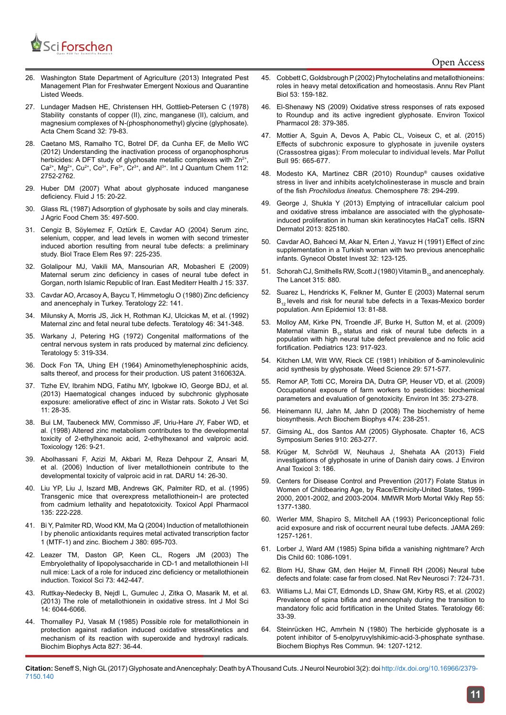### Sci <mark>Forschen</mark> en HUB for Scientific Research

- 26. [Washington State Department of Agriculture \(2013\) Integrated Pest](https://agr.wa.gov/PlantsInsects/Weeds/NPDESPermits/docs/IPMFreshwaterEmergentNoxiousQuarantineListedWeeds.pdf)  [Management Plan for Freshwater Emergent Noxious and Quarantine](https://agr.wa.gov/PlantsInsects/Weeds/NPDESPermits/docs/IPMFreshwaterEmergentNoxiousQuarantineListedWeeds.pdf)  [Listed Weeds.](https://agr.wa.gov/PlantsInsects/Weeds/NPDESPermits/docs/IPMFreshwaterEmergentNoxiousQuarantineListedWeeds.pdf)
- 27. Lundager Madsen HE, Christensen HH, Gottlieb-Petersen C (1978) Stability constants of copper (II), zinc, manganese (II), calcium, and magnesium complexes of N-(phosphonomethyl) glycine (glyphosate). Acta Chem Scand 32: 79-83.
- 28. [Caetano MS, Ramalho TC, Botrel DF, da Cunha EF, de Mello WC](http://onlinelibrary.wiley.com/doi/10.1002/qua.23222/abstract)  [\(2012\) Understanding the inactivation process of organophosphorus](http://onlinelibrary.wiley.com/doi/10.1002/qua.23222/abstract)  [herbicides: A DFT study of glyphosate metallic complexes with Zn](http://onlinelibrary.wiley.com/doi/10.1002/qua.23222/abstract)<sup>2+</sup>,  $Ca^{2+}$ , Mg<sup>2+</sup>, Cu<sup>2+</sup>, Co<sup>3+</sup>, Fe<sup>3+</sup>, Cr<sup>3+</sup>, and Al<sup>3+</sup>. Int J Quantum Chem 112: [2752-2762.](http://onlinelibrary.wiley.com/doi/10.1002/qua.23222/abstract)
- 29. [Huber DM \(2007\) What about glyphosate induced manganese](http://www.agweb.com/assets/import/files/58p20-22.pdf)  [deficiency. Fluid J 15: 20-22](http://www.agweb.com/assets/import/files/58p20-22.pdf).
- 30. Glass RL (1987) Adsorption of glyphosate by soils and clay minerals. J Agric Food Chem 35: 497-500.
- 31. [Cengiz B, Söylemez F, Oztürk E, Cavdar AO \(2004\) Serum zinc,](https://www.ncbi.nlm.nih.gov/pubmed/14997023)  [selenium, copper, and lead levels in women with second trimester](https://www.ncbi.nlm.nih.gov/pubmed/14997023)  [induced abortion resulting from neural tube defects: a preliminary](https://www.ncbi.nlm.nih.gov/pubmed/14997023)  [study. Biol Trace Elem Res 97: 225-235.](https://www.ncbi.nlm.nih.gov/pubmed/14997023)
- 32. [Golalipour MJ, Vakili MA, Mansourian AR, Mobasheri E \(2009\)](http://www.emro.who.int/emhj-volume-15-2009/volume-15-issue-2/article11.html)  [Maternal serum zinc deficiency in cases of neural tube defect in](http://www.emro.who.int/emhj-volume-15-2009/volume-15-issue-2/article11.html)  [Gorgan, north Islamic Republic of Iran. East Mediterr](http://www.emro.who.int/emhj-volume-15-2009/volume-15-issue-2/article11.html) Health J 15: 337.
- 33. [Cavdar AO, Arcasoy A, Baycu T, Himmetoglu O \(1980\) Zinc deficiency](http://onlinelibrary.wiley.com/doi/10.1002/tera.1420220116/abstract)  [and anencephaly in Turkey. Teratology 22: 141.](http://onlinelibrary.wiley.com/doi/10.1002/tera.1420220116/abstract)
- 34. [Milunsky A, Morris JS, Jick H, Rothman KJ, Ulcickas M, et al. \(1992\)](https://www.ncbi.nlm.nih.gov/pubmed/1384155)  [Maternal zinc and fetal neural tube defects. Teratology 46: 341-348.](https://www.ncbi.nlm.nih.gov/pubmed/1384155)
- 35. [Warkany J, Petering HG \(1972\) Congenital malformations of the](https://www.ncbi.nlm.nih.gov/labs/articles/5032641/)  [central nervous system in rats produced by maternal zinc deficiency.](https://www.ncbi.nlm.nih.gov/labs/articles/5032641/)  [Teratology 5: 319-334.](https://www.ncbi.nlm.nih.gov/labs/articles/5032641/)
- 36. [Dock Fon TA, Uhing EH \(1964\) Aminomethylenephosphinic acids,](https://docs.google.com/viewer?url=patentimages.storage.googleapis.com/pdfs/US3160632.pdf)  [salts thereof, and process for their production. US patent 3160632A.](https://docs.google.com/viewer?url=patentimages.storage.googleapis.com/pdfs/US3160632.pdf)
- 37. [Tizhe EV, Ibrahim NDG, Fatihu MY, Igbokwe IO, George BDJ, et al.](https://www.researchgate.net/publication/314432001_Haematogical_changes_induced_by_subchronic_glyphosate_exposure_Ameliorative_effect_of_zinc_in_Wistar_rats)  [\(2013\) Haematogical changes induced by subchronic glyphosate](https://www.researchgate.net/publication/314432001_Haematogical_changes_induced_by_subchronic_glyphosate_exposure_Ameliorative_effect_of_zinc_in_Wistar_rats)  [exposure: ameliorative effect of zinc in Wistar rats. Sokoto J Vet Sci](https://www.researchgate.net/publication/314432001_Haematogical_changes_induced_by_subchronic_glyphosate_exposure_Ameliorative_effect_of_zinc_in_Wistar_rats)  [11: 28-35.](https://www.researchgate.net/publication/314432001_Haematogical_changes_induced_by_subchronic_glyphosate_exposure_Ameliorative_effect_of_zinc_in_Wistar_rats)
- 38. [Bui LM, Taubeneck MW, Commisso JF, Uriu-Hare JY, Faber WD, et](https://www.ncbi.nlm.nih.gov/pubmed/9585088)  [al. \(1998\) Altered zinc metabolism contributes to the developmental](https://www.ncbi.nlm.nih.gov/pubmed/9585088)  [toxicity of 2-ethylhexanoic acid, 2-ethylhexanol and valproic acid.](https://www.ncbi.nlm.nih.gov/pubmed/9585088)  [Toxicology 126: 9-21.](https://www.ncbi.nlm.nih.gov/pubmed/9585088)
- 39. [Abolhassani F, Azizi M, Akbari M, Reza Dehpour Z, Ansari M,](http://daru.tums.ac.ir/index.php/daru/article/view/260)  [et al. \(2006\) Induction of liver metallothionein contribute to the](http://daru.tums.ac.ir/index.php/daru/article/view/260)  [developmental toxicity of valproic acid in rat. DARU 14: 26-30.](http://daru.tums.ac.ir/index.php/daru/article/view/260)
- 40. [Liu YP, Liu J, Iszard MB, Andrews GK, Palmiter RD, et al. \(1995\)](https://www.ncbi.nlm.nih.gov/pubmed/8545831)  [Transgenic mice that overexpress metallothionein-I are protected](https://www.ncbi.nlm.nih.gov/pubmed/8545831)  [from cadmium lethality and hepatotoxicity. Toxicol Appl Pharmacol](https://www.ncbi.nlm.nih.gov/pubmed/8545831)  [135: 222-228.](https://www.ncbi.nlm.nih.gov/pubmed/8545831)
- 41. [Bi Y, Palmiter RD, Wood KM, Ma Q \(2004\) Induction of metallothionein](https://www.ncbi.nlm.nih.gov/pubmed/14998373)  [I by phenolic antioxidants requires metal activated transcription factor](https://www.ncbi.nlm.nih.gov/pubmed/14998373)  [1 \(MTF-1\) and zinc. Biochem J 380: 695-703.](https://www.ncbi.nlm.nih.gov/pubmed/14998373)
- 42. [Leazer TM, Daston GP, Keen CL, Rogers JM \(2003\) The](https://cfpub.epa.gov/si/si_public_record_Report.cfm%3FdirEntryId%3D65757)  [Embryolethality of lipopolysaccharide in CD-1 and metallothionein I-II](https://cfpub.epa.gov/si/si_public_record_Report.cfm%3FdirEntryId%3D65757)  [null mice: Lack of a role for induced zinc deficiency or metallothionein](https://cfpub.epa.gov/si/si_public_record_Report.cfm%3FdirEntryId%3D65757)  [induction. Toxicol Sci 73: 442-447.](https://cfpub.epa.gov/si/si_public_record_Report.cfm%3FdirEntryId%3D65757)
- 43. [Ruttkay-Nedecky B, Nejdl L, Gumulec J, Zitka O, Masarik M, et al.](https://www.ncbi.nlm.nih.gov/pubmed/23502468)  [\(2013\) The role of metallothionein in oxidative stress. Int J Mol Sci](https://www.ncbi.nlm.nih.gov/pubmed/23502468)  [14: 6044-6066.](https://www.ncbi.nlm.nih.gov/pubmed/23502468)
- 44. [Thornalley PJ, Vasak M \(1985\) Possible role for metallothionein in](https://www.ncbi.nlm.nih.gov/pubmed/2981555)  [protection against radiation induced oxidative stressKinetics and](https://www.ncbi.nlm.nih.gov/pubmed/2981555)  [mechanism of its reaction with superoxide and hydroxyl radicals.](https://www.ncbi.nlm.nih.gov/pubmed/2981555)  [Biochim Biophys Acta 827: 36-44.](https://www.ncbi.nlm.nih.gov/pubmed/2981555)
- 45. [Cobbett C, Goldsbrough P \(2002\) Phytochelatins and metallothioneins:](https://www.ncbi.nlm.nih.gov/pubmed/12221971) [roles in heavy metal detoxification and homeostasis. Annu Rev Plant](https://www.ncbi.nlm.nih.gov/pubmed/12221971) [Biol 53: 159-182.](https://www.ncbi.nlm.nih.gov/pubmed/12221971)
- 46. [El-Shenawy NS \(2009\) Oxidative stress responses of rats exposed](https://www.researchgate.net/publication/51516355_Oxidative_stress_responses_of_rats_exposed_to_Roundup_and_its_active_ingredient_glyphosate) [to Roundup and its active ingredient glyphosate. Environ Toxicol](https://www.researchgate.net/publication/51516355_Oxidative_stress_responses_of_rats_exposed_to_Roundup_and_its_active_ingredient_glyphosate) [Pharmacol 28: 379-385.](https://www.researchgate.net/publication/51516355_Oxidative_stress_responses_of_rats_exposed_to_Roundup_and_its_active_ingredient_glyphosate)
- 47. [Mottier A, Sguin A, Devos A, Pabic CL, Voiseux C, et al. \(2015\)](https://www.ncbi.nlm.nih.gov/pubmed/25455786) [Effects of subchronic exposure to glyphosate in juvenile oysters](https://www.ncbi.nlm.nih.gov/pubmed/25455786) [\(Crassostrea gigas\): From molecular to individual levels. Mar Pollut](https://www.ncbi.nlm.nih.gov/pubmed/25455786) [Bull 95: 665-677.](https://www.ncbi.nlm.nih.gov/pubmed/25455786)
- 48. [Modesto KA, Martinez CBR \(2010\) Roundup](http://www.uel.br/laboratorios/lefa/MODESTO; MARTINEZ, 2010  Chemosphere.pdf)® causes oxidative [stress in liver and inhibits acetylcholinesterase in muscle and brain](http://www.uel.br/laboratorios/lefa/MODESTO; MARTINEZ, 2010 - Chemosphere.pdf) of the fish *Prochilodus lineatus.* [Chemosphere 78: 294-299.](http://www.uel.br/laboratorios/lefa/MODESTO; MARTINEZ, 2010 - Chemosphere.pdf)
- 49. [George J, Shukla Y \(2013\) Emptying of intracellular calcium pool](https://www.ncbi.nlm.nih.gov/pmc/articles/PMC3773425/%3Freport%3Dclassic) [and oxidative stress imbalance are associated with the glyphosate](https://www.ncbi.nlm.nih.gov/pmc/articles/PMC3773425/%3Freport%3Dclassic)[induced proliferation in human skin keratinocytes HaCaT cells. ISRN](https://www.ncbi.nlm.nih.gov/pmc/articles/PMC3773425/%3Freport%3Dclassic) [Dermatol 2013: 825180.](https://www.ncbi.nlm.nih.gov/pmc/articles/PMC3773425/%3Freport%3Dclassic)
- 50. [Cavdar AO, Bahceci M, Akar N, Erten J, Yavuz H \(1991\) Effect of zinc](https://www.karger.com/Article/Abstract/293011) [supplementation in a Turkish woman with two previous anencephalic](https://www.karger.com/Article/Abstract/293011) [infants. Gynecol Obstet Invest 32: 123-125.](https://www.karger.com/Article/Abstract/293011)
- 51. [Schorah CJ, Smithells RW, Scott J \(1980\) Vitamin B](http://www.thelancet.com/journals/lancet/article/PIIS0140-6736(80)91381-1/fulltext)<sub>12</sub> and anencephaly. [The Lancet 315: 880.](http://www.thelancet.com/journals/lancet/article/PIIS0140-6736(80)91381-1/fulltext)
- 52. [Suarez L, Hendricks K, Felkner M, Gunter E \(2003\) Maternal serum](http://www.sciencedirect.com/science/article/pii/S1047279702002673)  $B_{12}$  [levels and risk for neural tube defects in a Texas-Mexico border](http://www.sciencedirect.com/science/article/pii/S1047279702002673) [population. Ann Epidemiol 13: 81-88.](http://www.sciencedirect.com/science/article/pii/S1047279702002673)
- 53. [Molloy AM, Kirke PN, Troendle JF, Burke H, Sutton M, et al. \(2009\)](https://www.ncbi.nlm.nih.gov/pubmed/19255021) Maternal vitamin  $B_{12}$  [status and risk of neural tube defects in a](https://www.ncbi.nlm.nih.gov/pubmed/19255021) [population with high neural tube defect prevalence and no folic acid](https://www.ncbi.nlm.nih.gov/pubmed/19255021) [fortification. Pediatrics 123: 917-923.](https://www.ncbi.nlm.nih.gov/pubmed/19255021)
- 54. [Kitchen LM, Witt WW, Rieck CE \(1981\) Inhibition of δ-aminolevulinic](https://www.cambridge.org/core/journals/weed-science/article/inhibition-of-aminolevulinic-acid-synthesis-by-glyphosate/8A49904E276B44BECDCAA36026814AC9) [acid synthesis by glyphosate. Weed Science 29: 571-577.](https://www.cambridge.org/core/journals/weed-science/article/inhibition-of-aminolevulinic-acid-synthesis-by-glyphosate/8A49904E276B44BECDCAA36026814AC9)
- 55. [Remor AP, Totti CC, Moreira DA, Dutra GP, Heuser VD, et al. \(2009\)](https://www.ncbi.nlm.nih.gov/pubmed/18678410) [Occupational exposure of farm workers to pesticides: biochemical](https://www.ncbi.nlm.nih.gov/pubmed/18678410) [parameters and evaluation of genotoxicity. Environ Int 35: 273-278.](https://www.ncbi.nlm.nih.gov/pubmed/18678410)
- 56. [Heinemann IU, Jahn M, Jahn D \(2008\) The biochemistry of heme](https://www.ncbi.nlm.nih.gov/pubmed/18314007) [biosynthesis. Arch Biochem Biophys 474: 238-251.](https://www.ncbi.nlm.nih.gov/pubmed/18314007)
- 57. [Gimsing AL, dos Santos AM \(2005\) Glyphosate. Chapter 16, ACS](http://pubs.acs.org/doi/abs/10.1021/bk-2005-0910.ch016) [Symposium Series 910: 263-277.](http://pubs.acs.org/doi/abs/10.1021/bk-2005-0910.ch016)
- 58. [Krüger M, Schrödl W, Neuhaus J, Shehata AA \(2013\) Field](https://www.omicsonline.org/field-investigations-of-glyphosate-in-urine-of-danish-dairy-cows-2161-0525.1000186.php?aid=18383) [investigations of glyphosate in urine of Danish dairy cows. J Environ](https://www.omicsonline.org/field-investigations-of-glyphosate-in-urine-of-danish-dairy-cows-2161-0525.1000186.php?aid=18383) [Anal Toxicol 3: 186.](https://www.omicsonline.org/field-investigations-of-glyphosate-in-urine-of-danish-dairy-cows-2161-0525.1000186.php?aid=18383)
- 59. [Centers for Disease Control and Prevention \(2017\) Folate Status in](https://www.cdc.gov/mmwr/preview/mmwrhtml/mm5551a2.htm) [Women of Childbearing Age, by Race/Ethnicity-United States, 1999-](https://www.cdc.gov/mmwr/preview/mmwrhtml/mm5551a2.htm) [2000, 2001-2002, and 2003-2004. MMWR Morb Mortal Wkly Rep 55:](https://www.cdc.gov/mmwr/preview/mmwrhtml/mm5551a2.htm) [1377-1380.](https://www.cdc.gov/mmwr/preview/mmwrhtml/mm5551a2.htm)
- 60. [Werler MM, Shapiro S, Mitchell AA \(1993\) Periconceptional folic](https://www.ncbi.nlm.nih.gov/pubmed/8437302) [acid exposure and risk of occurrent neural tube defects. JAMA 269:](https://www.ncbi.nlm.nih.gov/pubmed/8437302) [1257-1261.](https://www.ncbi.nlm.nih.gov/pubmed/8437302)
- 61. [Lorber J, Ward AM \(1985\) Spina bifida a vanishing nightmare? Arch](https://www.ncbi.nlm.nih.gov/pubmed/3907511) [Dis Child 60: 1086-1091.](https://www.ncbi.nlm.nih.gov/pubmed/3907511)
- 62. [Blom HJ, Shaw GM, den Heijer M, Finnell RH \(2006\) Neural tube](https://www.ncbi.nlm.nih.gov/pubmed/16924261) [defects and folate: case far from closed. Nat Rev Neurosci 7: 724-731.](https://www.ncbi.nlm.nih.gov/pubmed/16924261)
- 63. [Williams LJ, Mai CT, Edmonds LD, Shaw GM, Kirby RS, et al. \(2002\)](https://www.ncbi.nlm.nih.gov/pubmed/12115778) [Prevalence of spina bifida and anencephaly during the transition to](https://www.ncbi.nlm.nih.gov/pubmed/12115778) [mandatory folic acid fortification in the United States. Teratology 66:](https://www.ncbi.nlm.nih.gov/pubmed/12115778) [33-39.](https://www.ncbi.nlm.nih.gov/pubmed/12115778)
- 64. [Steinrücken HC, Amrhein N \(1980\) The herbicide glyphosate is a](https://www.ncbi.nlm.nih.gov/pubmed/7396959) [potent inhibitor of 5-enolpyruvylshikimic-acid-3-phosphate synthase.](https://www.ncbi.nlm.nih.gov/pubmed/7396959) [Biochem Biophys Res Commun. 94: 1207-1212.](https://www.ncbi.nlm.nih.gov/pubmed/7396959)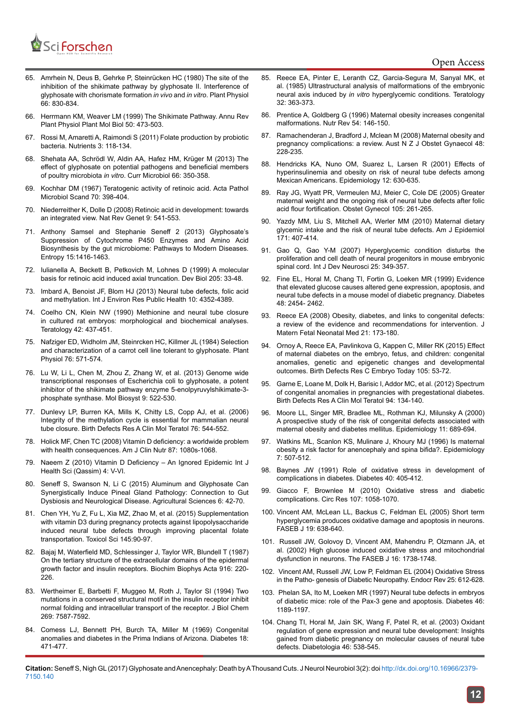

#### Open Access

- 65. [Amrhein N, Deus B, Gehrke P, Steinrücken HC \(1980\) The site of the](https://www.ncbi.nlm.nih.gov/pubmed/16661535)  [inhibition of the shikimate pathway by glyphosate II. Interference of](https://www.ncbi.nlm.nih.gov/pubmed/16661535)  [glyphosate with chorismate formation](https://www.ncbi.nlm.nih.gov/pubmed/16661535) *in vivo* and *in vitro*. Plant Physiol [66: 830-834.](https://www.ncbi.nlm.nih.gov/pubmed/16661535)
- 66. [Herrmann KM, Weaver LM \(1999\) The Shikimate Pathway. Annu Rev](https://www.ncbi.nlm.nih.gov/pubmed/15012217)  [Plant Physiol Plant Mol Biol 50: 473-503.](https://www.ncbi.nlm.nih.gov/pubmed/15012217)
- 67. [Rossi M, Amaretti A, Raimondi S \(2011\) Folate production by probiotic](https://www.ncbi.nlm.nih.gov/pubmed/22254078)  [bacteria. Nutrients 3: 118-134.](https://www.ncbi.nlm.nih.gov/pubmed/22254078)
- 68. [Shehata AA, Schrödl W, Aldin AA, Hafez HM, Krüger M \(2013\) The](https://www.ncbi.nlm.nih.gov/pubmed/23224412)  [effect of glyphosate on potential pathogens and beneficial members](https://www.ncbi.nlm.nih.gov/pubmed/23224412)  of poultry microbiota *in vitro*[. Curr Microbiol 66: 350-358.](https://www.ncbi.nlm.nih.gov/pubmed/23224412)
- 69. [Kochhar DM \(1967\) Teratogenic activity of retinoic acid. Acta Pathol](https://www.ncbi.nlm.nih.gov/pubmed/?term=Kochhar+DM+(1967)+Teratogenic+activity+of+retinoic+acid.+APMIS+70(3)%3A+398-404.)  [Microbiol Scand 70: 398-404.](https://www.ncbi.nlm.nih.gov/pubmed/?term=Kochhar+DM+(1967)+Teratogenic+activity+of+retinoic+acid.+APMIS+70(3)%3A+398-404.)
- 70. [Niederreither K, Dolle D \(2008\) Retinoic acid in development: towards](https://www.ncbi.nlm.nih.gov/pubmed/%3Fterm%3DRetinoic%2Bacid%2Bin%2Bdevelopment%253A%2Btowards%2Ban%2Bintegrated%2Bview)  [an integrated view. Nat Rev Genet 9: 541-553.](https://www.ncbi.nlm.nih.gov/pubmed/%3Fterm%3DRetinoic%2Bacid%2Bin%2Bdevelopment%253A%2Btowards%2Ban%2Bintegrated%2Bview)
- 71. [Anthony Samsel and Stephanie Seneff 2 \(2013\) Glyphosate's](http://www.mdpi.com/1099-4300/15/4/1416)  [Suppression of Cytochrome P450 Enzymes and Amino Acid](http://www.mdpi.com/1099-4300/15/4/1416)  [Biosynthesis by the gut microbiome: Pathways to Modern Diseases.](http://www.mdpi.com/1099-4300/15/4/1416)  [Entropy 15:1416-1463.](http://www.mdpi.com/1099-4300/15/4/1416)
- 72. [Iulianella A, Beckett B, Petkovich M, Lohnes D \(1999\) A molecular](https://www.ncbi.nlm.nih.gov/pubmed/9882496)  [basis for retinoic acid induced axial truncation. Dev Biol 205: 33-48](https://www.ncbi.nlm.nih.gov/pubmed/9882496).
- 73. [Imbard A, Benoist JF, Blom HJ \(2013\) Neural tube defects, folic acid](https://www.ncbi.nlm.nih.gov/pubmed/24048206)  [and methylation. Int J Environ Res Public Health 10: 4352-4389.](https://www.ncbi.nlm.nih.gov/pubmed/24048206)
- 74. Coelho CN, Klein NW (1990) Methionine and neural tube closure in cultured rat embryos: morphological and biochemical analyses. Teratology 42: 437-451.
- 75. [Nafziger ED, Widholm JM, Steinrcken HC, Killmer JL \(1984\) Selection](https://www.ncbi.nlm.nih.gov/pubmed/16663884)  [and characterization of a carrot cell line tolerant to glyphosate. Plant](https://www.ncbi.nlm.nih.gov/pubmed/16663884)  [Physiol 76: 571-574.](https://www.ncbi.nlm.nih.gov/pubmed/16663884)
- 76. [Lu W, Li L, Chen M, Zhou Z, Zhang W, et al. \(2013\) Genome wide](https://www.ncbi.nlm.nih.gov/pubmed/?term=Genome-wide+transcriptional+responses+of+Escherichia+coli+to+glyphosate%2C+a+potent+inhibitor+of+the+shikimate+pathway+enzyme+5-enolpyruvylshikimate-3-phosphate+synthase)  [transcriptional responses of Escherichia coli to glyphosate, a potent](https://www.ncbi.nlm.nih.gov/pubmed/?term=Genome-wide+transcriptional+responses+of+Escherichia+coli+to+glyphosate%2C+a+potent+inhibitor+of+the+shikimate+pathway+enzyme+5-enolpyruvylshikimate-3-phosphate+synthase)  [inhibitor of the shikimate pathway enzyme 5-enolpyruvylshikimate-3](https://www.ncbi.nlm.nih.gov/pubmed/?term=Genome-wide+transcriptional+responses+of+Escherichia+coli+to+glyphosate%2C+a+potent+inhibitor+of+the+shikimate+pathway+enzyme+5-enolpyruvylshikimate-3-phosphate+synthase) [phosphate synthase. Mol Biosyst 9: 522-530.](https://www.ncbi.nlm.nih.gov/pubmed/?term=Genome-wide+transcriptional+responses+of+Escherichia+coli+to+glyphosate%2C+a+potent+inhibitor+of+the+shikimate+pathway+enzyme+5-enolpyruvylshikimate-3-phosphate+synthase)
- 77. [Dunlevy LP, Burren KA, Mills K, Chitty LS, Copp AJ, et al. \(2006\)](https://www.ncbi.nlm.nih.gov/pubmed/16933307)  [Integrity of the methylation cycle is essential for mammalian neural](https://www.ncbi.nlm.nih.gov/pubmed/16933307)  [tube closure. Birth Defects Res A Clin Mol Teratol 76: 544-552.](https://www.ncbi.nlm.nih.gov/pubmed/16933307)
- 78. [Holick MF, Chen TC \(2008\) Vitamin D deficiency: a worldwide problem](https://www.ncbi.nlm.nih.gov/pubmed/18400738)  [with health consequences. Am J Clin Nutr 87: 1080s-1068.](https://www.ncbi.nlm.nih.gov/pubmed/18400738)
- 79. [Naeem Z \(2010\) Vitamin D Deficiency An Ignored Epidemic Int J](https://www.ncbi.nlm.nih.gov/pmc/articles/PMC3068797/)  [Health Sci \(Qassim\) 4: V-VI.](https://www.ncbi.nlm.nih.gov/pmc/articles/PMC3068797/)
- 80. [Seneff S, Swanson N, Li C \(2015\) Aluminum and Glyphosate Can](https://file.scirp.org/Html/5-3000951_53106.htm)  [Synergistically Induce Pineal Gland Pathology: Connection to Gut](https://file.scirp.org/Html/5-3000951_53106.htm)  [Dysbiosis and Neurological Disease. Agricultural Sciences 6: 42-70.](https://file.scirp.org/Html/5-3000951_53106.htm)
- 81. [Chen YH, Yu Z, Fu L, Xia MZ, Zhao M, et al. \(2015\) Supplementation](https://www.ncbi.nlm.nih.gov/pubmed/25673501)  [with vitamin D3 during pregnancy protects against lipopolysaccharide](https://www.ncbi.nlm.nih.gov/pubmed/25673501)  [induced neural tube defects through improving placental folate](https://www.ncbi.nlm.nih.gov/pubmed/25673501)  [transportation. Toxicol Sci 145:90-97.](https://www.ncbi.nlm.nih.gov/pubmed/25673501)
- 82. [Bajaj M, Waterfield MD, Schlessinger J, Taylor WR, Blundell T \(1987\)](https://www.ncbi.nlm.nih.gov/pubmed/3676333)  [On the tertiary structure of the extracellular domains of the epidermal](https://www.ncbi.nlm.nih.gov/pubmed/3676333)  [growth factor and insulin receptors. Biochim Biophys Acta 916: 220-](https://www.ncbi.nlm.nih.gov/pubmed/3676333) [226.](https://www.ncbi.nlm.nih.gov/pubmed/3676333)
- 83. [Wertheimer E, Barbetti F, Muggeo M, Roth J, Taylor SI \(1994\) Two](https://www.ncbi.nlm.nih.gov/pubmed/8125981)  [mutations in a conserved structural motif in the insulin receptor inhibit](https://www.ncbi.nlm.nih.gov/pubmed/8125981)  [normal folding and intracellular transport of the receptor. J Biol Chem](https://www.ncbi.nlm.nih.gov/pubmed/8125981)  [269: 7587-7592.](https://www.ncbi.nlm.nih.gov/pubmed/8125981)
- 84. [Comess LJ, Bennett PH, Burch TA, Miller M \(1969\) Congenital](https://www.ncbi.nlm.nih.gov/pubmed/5795029)  [anomalies and diabetes in the Prima Indians of Arizona. Diabetes 18:](https://www.ncbi.nlm.nih.gov/pubmed/5795029)  [471-477.](https://www.ncbi.nlm.nih.gov/pubmed/5795029)
- 85. [Reece EA, Pinter E, Leranth CZ, Garcia-Segura M, Sanyal MK, et](https://www.ncbi.nlm.nih.gov/pubmed/4082067) [al. \(1985\) Ultrastructural analysis of malformations of the embryonic](https://www.ncbi.nlm.nih.gov/pubmed/4082067) neural axis induced by *in vitro* [hyperglycemic conditions. Teratology](https://www.ncbi.nlm.nih.gov/pubmed/4082067) [32: 363-373.](https://www.ncbi.nlm.nih.gov/pubmed/4082067)
- 86. [Prentice A, Goldberg G \(1996\) Maternal obesity increases congenital](https://www.ncbi.nlm.nih.gov/pubmed/8783881) [malformations. Nutr Rev 54: 146-150.](https://www.ncbi.nlm.nih.gov/pubmed/8783881)
- 87. [Ramachenderan J, Bradford J, Mclean M \(2008\) Maternal obesity and](https://www.ncbi.nlm.nih.gov/pubmed/18532950) [pregnancy complications: a review. Aust N Z J Obstet Gynaecol 48:](https://www.ncbi.nlm.nih.gov/pubmed/18532950) [228-235.](https://www.ncbi.nlm.nih.gov/pubmed/18532950)
- 88. [Hendricks KA, Nuno OM, Suarez L, Larsen R \(2001\) Effects of](https://www.ncbi.nlm.nih.gov/pubmed/11679789) [hyperinsulinemia and obesity on risk of neural tube defects among](https://www.ncbi.nlm.nih.gov/pubmed/11679789) [Mexican Americans. Epidemiology 12: 630-635.](https://www.ncbi.nlm.nih.gov/pubmed/11679789)
- 89. [Ray JG, Wyatt PR, Vermeulen MJ, Meier C, Cole DE \(2005\) Greater](https://www.ncbi.nlm.nih.gov/pubmed/15684149) [maternal weight and the ongoing risk of neural tube defects after folic](https://www.ncbi.nlm.nih.gov/pubmed/15684149) [acid flour fortification. Obstet Gynecol 105: 261-265.](https://www.ncbi.nlm.nih.gov/pubmed/15684149)
- 90. [Yazdy MM, Liu S, Mitchell AA, Werler MM \(2010\) Maternal dietary](https://www.ncbi.nlm.nih.gov/pubmed/20042435) [glycemic intake and the risk of neural tube defects. Am J Epidemiol](https://www.ncbi.nlm.nih.gov/pubmed/20042435) [171: 407-414.](https://www.ncbi.nlm.nih.gov/pubmed/20042435)
- 91. [Gao Q, Gao Y-M \(2007\) Hyperglycemic condition disturbs the](https://www.ncbi.nlm.nih.gov/pubmed/17888615) [proliferation and cell death of neural progenitors in mouse embryonic](https://www.ncbi.nlm.nih.gov/pubmed/17888615) [spinal cord. Int J Dev Neurosci 25: 349-357.](https://www.ncbi.nlm.nih.gov/pubmed/17888615)
- 92. [Fine EL, Horal M, Chang TI, Fortin G, Loeken MR \(1999\) Evidence](https://www.ncbi.nlm.nih.gov/pubmed/10580436) [that elevated glucose causes altered gene expression, apoptosis, and](https://www.ncbi.nlm.nih.gov/pubmed/10580436) [neural tube defects in a mouse model of diabetic pregnancy. Diabetes](https://www.ncbi.nlm.nih.gov/pubmed/10580436) [48: 2454- 2462.](https://www.ncbi.nlm.nih.gov/pubmed/10580436)
- 93. [Reece EA \(2008\) Obesity, diabetes, and links to congenital defects:](https://www.ncbi.nlm.nih.gov/pubmed/18297572) [a review of the evidence and recommendations for intervention. J](https://www.ncbi.nlm.nih.gov/pubmed/18297572) [Matern Fetal Neonatal Med 21: 173-180.](https://www.ncbi.nlm.nih.gov/pubmed/18297572)
- 94. [Ornoy A, Reece EA, Pavlinkova G, Kappen C, Miller RK \(2015\) Effect](https://www.ncbi.nlm.nih.gov/pubmed/25783684) [of maternal diabetes on the embryo, fetus, and children: congenital](https://www.ncbi.nlm.nih.gov/pubmed/25783684) [anomalies, genetic and epigenetic changes and developmental](https://www.ncbi.nlm.nih.gov/pubmed/25783684) [outcomes. Birth Defects Res C Embryo Today 105: 53-72.](https://www.ncbi.nlm.nih.gov/pubmed/25783684)
- 95. [Garne E, Loane M, Dolk H, Barisic I, Addor MC, et al. \(2012\) Spectrum](https://www.ncbi.nlm.nih.gov/pubmed/22371321) [of congenital anomalies in pregnancies with pregestational diabetes.](https://www.ncbi.nlm.nih.gov/pubmed/22371321) [Birth Defects Res A Clin Mol Teratol 94: 134-140.](https://www.ncbi.nlm.nih.gov/pubmed/22371321)
- 96. [Moore LL, Singer MR, Bradlee ML, Rothman KJ, Milunsky A \(2000\)](https://www.ncbi.nlm.nih.gov/pubmed/11055631) [A prospective study of the risk of congenital defects associated with](https://www.ncbi.nlm.nih.gov/pubmed/11055631) [maternal obesity and diabetes mellitus. Epidemiology 11: 689-694.](https://www.ncbi.nlm.nih.gov/pubmed/11055631)
- 97. [Watkins ML, Scanlon KS, Mulinare J, Khoury MJ \(1996\) Is maternal](https://www.ncbi.nlm.nih.gov/pubmed/8862982) [obesity a risk factor for anencephaly and spina bifida?. Epidemiology](https://www.ncbi.nlm.nih.gov/pubmed/8862982) [7: 507-512.](https://www.ncbi.nlm.nih.gov/pubmed/8862982)
- 98. [Baynes JW \(1991\) Role of oxidative stress in development of](https://www.ncbi.nlm.nih.gov/pubmed/2010041) [complications in diabetes. Diabetes 40: 405-412.](https://www.ncbi.nlm.nih.gov/pubmed/2010041)
- 99. [Giacco F, Brownlee M \(2010\) Oxidative stress and diabetic](https://www.ncbi.nlm.nih.gov/pubmed/21030723) [complications. Circ Res 107: 1058-1070.](https://www.ncbi.nlm.nih.gov/pubmed/21030723)
- 100. [Vincent AM, McLean LL, Backus C, Feldman EL \(2005\) Short term](https://www.ncbi.nlm.nih.gov/pubmed/15677696) [hyperglycemia produces oxidative damage and apoptosis in neurons.](https://www.ncbi.nlm.nih.gov/pubmed/15677696) [FASEB J 19: 638-640.](https://www.ncbi.nlm.nih.gov/pubmed/15677696)
- 101. [Russell JW, Golovoy D, Vincent AM, Mahendru P, Olzmann JA, et](https://www.ncbi.nlm.nih.gov/pubmed/12409316) [al. \(2002\) High glucose induced oxidative stress and mitochondrial](https://www.ncbi.nlm.nih.gov/pubmed/12409316) [dysfunction in neurons. The FASEB J 16: 1738-1748.](https://www.ncbi.nlm.nih.gov/pubmed/12409316)
- 102. [Vincent AM, Russell JW, Low P, Feldman EL \(2004\) Oxidative Stress](https://www.ncbi.nlm.nih.gov/pubmed/15294884) [in the Patho- genesis of Diabetic Neuropathy. Endocr Rev 25: 612-628.](https://www.ncbi.nlm.nih.gov/pubmed/15294884)
- 103. [Phelan SA, Ito M, Loeken MR \(1997\) Neural tube defects in embryos](https://www.ncbi.nlm.nih.gov/pubmed/9200655) [of diabetic mice: role of the Pax-3 gene and apoptosis. Diabetes 46:](https://www.ncbi.nlm.nih.gov/pubmed/9200655) [1189-1197.](https://www.ncbi.nlm.nih.gov/pubmed/9200655)
- 104. [Chang TI, Horal M, Jain SK, Wang F, Patel R, et al. \(2003\) Oxidant](https://www.ncbi.nlm.nih.gov/pubmed/12739027) [regulation of gene expression and neural tube development: Insights](https://www.ncbi.nlm.nih.gov/pubmed/12739027) [gained from diabetic pregnancy on molecular causes of neural tube](https://www.ncbi.nlm.nih.gov/pubmed/12739027) [defects. Diabetologia 46: 538-545.](https://www.ncbi.nlm.nih.gov/pubmed/12739027)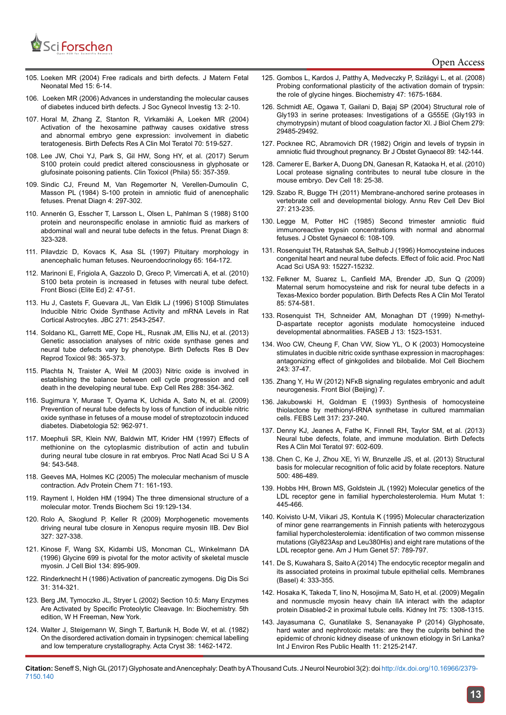

- 105. [Loeken MR \(2004\) Free radicals and birth defects. J Matern Fetal](https://www.ncbi.nlm.nih.gov/pubmed/15101606)  [Neonatal Med 15: 6-14.](https://www.ncbi.nlm.nih.gov/pubmed/15101606)
- 106. [Loeken MR \(2006\) Advances in understanding the molecular causes](https://www.ncbi.nlm.nih.gov/pubmed/16303321)  [of diabetes induced birth defects. J Soc Gynecol Investig 13: 2-10.](https://www.ncbi.nlm.nih.gov/pubmed/16303321)
- 107. [Horal M, Zhang Z, Stanton R, Virkamäki A, Loeken MR \(2004\)](https://www.ncbi.nlm.nih.gov/pubmed/15329829)  [Activation of the hexosamine pathway causes oxidative stress](https://www.ncbi.nlm.nih.gov/pubmed/15329829)  [and abnormal embryo gene expression: involvement in diabetic](https://www.ncbi.nlm.nih.gov/pubmed/15329829)  [teratogenesis. Birth Defects Res A Clin Mol Teratol 70: 519-527.](https://www.ncbi.nlm.nih.gov/pubmed/15329829)
- 108. [Lee JW, Choi YJ, Park S, Gil HW, Song HY, et al. \(2017\) Serum](https://www.ncbi.nlm.nih.gov/pubmed/28301275)  [S100 protein could predict altered consciousness in glyphosate or](https://www.ncbi.nlm.nih.gov/pubmed/28301275)  [glufosinate poisoning patients. Clin Toxicol \(Phila\) 55: 357-359.](https://www.ncbi.nlm.nih.gov/pubmed/28301275)
- 109. [Sindic CJ, Freund M, Van Regemorter N, Verellen-Dumoulin C,](https://www.ncbi.nlm.nih.gov/pubmed/6207522)  [Masson PL \(1984\) S-100 protein in amniotic fluid of anencephalic](https://www.ncbi.nlm.nih.gov/pubmed/6207522)  [fetuses. Prenat Diagn 4: 297-302.](https://www.ncbi.nlm.nih.gov/pubmed/6207522)
- 110. Annerén G, Esscher T, Larsson L, Olsen L, Pahlman S (1988) S100 protein and neuronspecific enolase in amniotic fluid as markers of abdominal wall and neural tube defects in the fetus. Prenat Diagn 8: 323-328.
- 111. [Pilavdzic D, Kovacs K, Asa SL \(1997\) Pituitary morphology in](https://www.ncbi.nlm.nih.gov/pubmed/9087997)  [anencephalic human fetuses. Neuroendocrinology 65: 164-172.](https://www.ncbi.nlm.nih.gov/pubmed/9087997)
- 112. [Marinoni E, Frigiola A, Gazzolo D, Greco P, Vimercati A, et al. \(2010\)](https://www.ncbi.nlm.nih.gov/pubmed/20036852)  [S100 beta protein is increased in fetuses with neural tube defect.](https://www.ncbi.nlm.nih.gov/pubmed/20036852)  [Front Biosci \(Elite Ed\) 2: 47-51.](https://www.ncbi.nlm.nih.gov/pubmed/20036852)
- 113. [Hu J, Castets F, Guevara JL, Van Eldik LJ \(1996\) S100β Stimulates](http://www.jbc.org/content/271/5/2543.full)  [Inducible Nitric Oxide Synthase Activity and mRNA Levels in Rat](http://www.jbc.org/content/271/5/2543.full)  [Cortical Astrocytes. JBC 271: 2543-2547.](http://www.jbc.org/content/271/5/2543.full)
- 114. [Soldano KL, Garrett ME, Cope HL, Rusnak JM, Ellis NJ, et al. \(2013\)](https://www.ncbi.nlm.nih.gov/pubmed/24323870)  [Genetic association analyses of nitric oxide synthase genes and](https://www.ncbi.nlm.nih.gov/pubmed/24323870)  [neural tube defects vary by phenotype. Birth Defects Res B Dev](https://www.ncbi.nlm.nih.gov/pubmed/24323870)  [Reprod Toxicol 98: 365-373.](https://www.ncbi.nlm.nih.gov/pubmed/24323870)
- 115. [Plachta N, Traister A, Weil M \(2003\) Nitric oxide is involved in](https://www.ncbi.nlm.nih.gov/pubmed/12915126)  [establishing the balance between cell cycle progression and cell](https://www.ncbi.nlm.nih.gov/pubmed/12915126)  [death in the developing neural tube. Exp Cell Res 288: 354-362.](https://www.ncbi.nlm.nih.gov/pubmed/12915126)
- 116. [Sugimura Y, Murase T, Oyama K, Uchida A, Sato N, et al. \(2009\)](https://www.ncbi.nlm.nih.gov/pubmed/19283362)  [Prevention of neural tube defects by loss of function of inducible nitric](https://www.ncbi.nlm.nih.gov/pubmed/19283362)  [oxide synthase in fetuses of a mouse model of streptozotocin induced](https://www.ncbi.nlm.nih.gov/pubmed/19283362)  [diabetes. Diabetologia 52: 962-971.](https://www.ncbi.nlm.nih.gov/pubmed/19283362)
- 117. [Moephuli SR, Klein NW, Baldwin MT, Krider HM \(1997\) Effects of](https://www.ncbi.nlm.nih.gov/pubmed/9012820)  [methionine on the cytoplasmic distribution of actin and tubulin](https://www.ncbi.nlm.nih.gov/pubmed/9012820)  [during neural tube closure in rat embryos. Proc Natl Acad Sci U S A](https://www.ncbi.nlm.nih.gov/pubmed/9012820)  [94: 543-548.](https://www.ncbi.nlm.nih.gov/pubmed/9012820)
- 118. [Geeves MA, Holmes KC \(2005\) The molecular mechanism of muscle](https://www.ncbi.nlm.nih.gov/pubmed/16230112)  [contraction. Adv Protein Chem 71: 161-193.](https://www.ncbi.nlm.nih.gov/pubmed/16230112)
- 119. [Rayment I, Holden HM \(1994\) The three dimensional structure of a](https://www.ncbi.nlm.nih.gov/pubmed/8203020)  [molecular motor. Trends Biochem Sci 19:129-134.](https://www.ncbi.nlm.nih.gov/pubmed/8203020)
- 120. [Rolo A, Skoglund P, Keller R \(2009\) Morphogenetic movements](https://www.ncbi.nlm.nih.gov/pubmed/19121300)  [driving neural tube closure in Xenopus require myosin IIB. Dev Biol](https://www.ncbi.nlm.nih.gov/pubmed/19121300)  [327: 327-338.](https://www.ncbi.nlm.nih.gov/pubmed/19121300)
- 121. [Kinose F, Wang SX, Kidambi US, Moncman CL, Winkelmann DA](https://www.ncbi.nlm.nih.gov/pubmed/8769415)  [\(1996\) Glycine 699 is pivotal for the motor activity of skeletal muscle](https://www.ncbi.nlm.nih.gov/pubmed/8769415)  [myosin. J Cell Biol 134: 895-909.](https://www.ncbi.nlm.nih.gov/pubmed/8769415)
- 122. Rinderknecht H (1986) Activation of pancreatic zymogens. Dig Dis Sci 31: 314-321.
- 123. [Berg JM, Tymoczko JL, Stryer L \(2002\) Section 10.5: Many Enzymes](https://www.ncbi.nlm.nih.gov/books/NBK22589/)  [Are Activated by Specific Proteolytic Cleavage. In: Biochemistry. 5th](https://www.ncbi.nlm.nih.gov/books/NBK22589/)  [edition, W H Freeman, New York.](https://www.ncbi.nlm.nih.gov/books/NBK22589/)
- 124. [Walter J, Steigemann W, Singh T, Bartunik H, Bode W, et al. \(1982\)](http://scripts.iucr.org/cgi-bin/paper?s0567740882006153)  [On the disordered activation domain in trypsinogen: chemical labelling](http://scripts.iucr.org/cgi-bin/paper?s0567740882006153)  [and low temperature crystallography. Acta Cryst 38: 1462-1472.](http://scripts.iucr.org/cgi-bin/paper?s0567740882006153)
- 125. [Gombos L, Kardos J, Patthy A, Medveczky P, Szilágyi L, et al. \(2008\)](http://pubs.acs.org/doi/abs/10.1021/bi701454e) [Probing conformational plasticity of the activation domain of trypsin:](http://pubs.acs.org/doi/abs/10.1021/bi701454e) [the role of glycine hinges. Biochemistry 47: 1675-1684.](http://pubs.acs.org/doi/abs/10.1021/bi701454e)
- 126. [Schmidt AE, Ogawa T, Gailani D, Bajaj SP \(2004\) Structural role of](https://www.ncbi.nlm.nih.gov/pubmed/15090552) [Gly193 in serine proteases: Investigations of a G555E \(Gly193 in](https://www.ncbi.nlm.nih.gov/pubmed/15090552) [chymotrypsin\) mutant of blood coagulation factor XI. J Biol Chem 279:](https://www.ncbi.nlm.nih.gov/pubmed/15090552) [29485-29492.](https://www.ncbi.nlm.nih.gov/pubmed/15090552)
- 127. [Pocknee RC, Abramovich DR \(1982\) Origin and levels of trypsin in](https://www.ncbi.nlm.nih.gov/pubmed/7066247) [amniotic fluid throughout pregnancy. Br J Obstet Gynaecol 89: 142-144.](https://www.ncbi.nlm.nih.gov/pubmed/7066247)
- 128. [Camerer E, Barker A, Duong DN, Ganesan R, Kataoka H, et al. \(2010\)](https://www.ncbi.nlm.nih.gov/pubmed/20152175) [Local protease signaling contributes to neural tube closure in the](https://www.ncbi.nlm.nih.gov/pubmed/20152175) [mouse embryo. Dev Cell 18: 25-38.](https://www.ncbi.nlm.nih.gov/pubmed/20152175)
- 129. [Szabo R, Bugge TH \(2011\) Membrane-anchored serine proteases in](https://www.ncbi.nlm.nih.gov/pubmed/21721945) [vertebrate cell and developmental biology. Annu Rev Cell Dev Biol](https://www.ncbi.nlm.nih.gov/pubmed/21721945) [27: 213-235.](https://www.ncbi.nlm.nih.gov/pubmed/21721945)
- 130. [Legge M, Potter HC \(1985\) Second trimester amniotic fluid](http://www.tandfonline.com/doi/abs/10.3109/01443618509079160?journalCode=ijog20) [immunoreactive trypsin concentrations with normal and abnormal](http://www.tandfonline.com/doi/abs/10.3109/01443618509079160?journalCode=ijog20) [fetuses. J Obstet Gynaecol 6: 108-109.](http://www.tandfonline.com/doi/abs/10.3109/01443618509079160?journalCode=ijog20)
- 131. [Rosenquist TH, Ratashak SA, Selhub J \(1996\) Homocysteine induces](https://www.ncbi.nlm.nih.gov/pubmed/8986792) [congenital heart and neural tube defects. Effect of folic acid. Proc Natl](https://www.ncbi.nlm.nih.gov/pubmed/8986792) [Acad Sci USA 93: 15227-15232.](https://www.ncbi.nlm.nih.gov/pubmed/8986792)
- 132. [Felkner M, Suarez L, Canfield MA, Brender JD, Sun Q \(2009\)](https://www.ncbi.nlm.nih.gov/pubmed/19180649) [Maternal serum homocysteine and risk for neural tube defects in a](https://www.ncbi.nlm.nih.gov/pubmed/19180649) [Texas-Mexico border population. Birth Defects Res A Clin Mol Teratol](https://www.ncbi.nlm.nih.gov/pubmed/19180649) [85: 574-581.](https://www.ncbi.nlm.nih.gov/pubmed/19180649)
- 133. [Rosenquist TH, Schneider AM, Monaghan DT \(1999\) N-methyl-](https://www.ncbi.nlm.nih.gov/pubmed/10463943)[D-aspartate receptor agonists modulate homocysteine induced](https://www.ncbi.nlm.nih.gov/pubmed/10463943) [developmental abnormalities. FASEB J 13: 1523-1531.](https://www.ncbi.nlm.nih.gov/pubmed/10463943)
- 134. [Woo CW, Cheung F, Chan VW, Siow YL, O K \(2003\) Homocysteine](https://www.ncbi.nlm.nih.gov/pubmed/12619887) [stimulates in ducible nitric oxide synthase expression in macrophages:](https://www.ncbi.nlm.nih.gov/pubmed/12619887) [antagonizing effect of ginkgolides and bilobalide. Mol Cell Biochem](https://www.ncbi.nlm.nih.gov/pubmed/12619887) [243: 37-47.](https://www.ncbi.nlm.nih.gov/pubmed/12619887)
- 135. [Zhang Y, Hu W \(2012\) NFκB signaling regulates embryonic and adult](https://www.ncbi.nlm.nih.gov/pmc/articles/PMC3855406/) [neurogenesis. Front Biol \(Beijing\) 7.](https://www.ncbi.nlm.nih.gov/pmc/articles/PMC3855406/)
- 136. [Jakubowski H, Goldman E \(1993\) Synthesis of homocysteine](https://www.ncbi.nlm.nih.gov/pubmed/8425610) [thiolactone by methionyl-tRNA synthetase in cultured mammalian](https://www.ncbi.nlm.nih.gov/pubmed/8425610) [cells. FEBS Lett 317: 237-240.](https://www.ncbi.nlm.nih.gov/pubmed/8425610)
- 137. [Denny KJ, Jeanes A, Fathe K, Finnell RH, Taylor SM, et al. \(2013\)](https://www.ncbi.nlm.nih.gov/pubmed/24078477) [Neural tube defects, folate, and immune modulation. Birth Defects](https://www.ncbi.nlm.nih.gov/pubmed/24078477) [Res A Clin Mol Teratol 97: 602-609.](https://www.ncbi.nlm.nih.gov/pubmed/24078477)
- 138. [Chen C, Ke J, Zhou XE, Yi W, Brunzelle JS, et al. \(2013\) Structural](https://www.ncbi.nlm.nih.gov/pubmed/23851396) [basis for molecular recognition of folic acid by folate receptors. Nature](https://www.ncbi.nlm.nih.gov/pubmed/23851396) [500: 486-489.](https://www.ncbi.nlm.nih.gov/pubmed/23851396)
- 139. [Hobbs HH, Brown MS, Goldstein JL \(1992\) Molecular genetics of the](https://www.ncbi.nlm.nih.gov/pubmed/1301956) [LDL receptor gene in familial hypercholesterolemia. Hum Mutat 1:](https://www.ncbi.nlm.nih.gov/pubmed/1301956) [445-466.](https://www.ncbi.nlm.nih.gov/pubmed/1301956)
- 140. [Koivisto U-M, Viikari JS, Kontula K \(1995\) Molecular characterization](https://www.ncbi.nlm.nih.gov/labs/articles/7573037/) [of minor gene rearrangements in Finnish patients with heterozygous](https://www.ncbi.nlm.nih.gov/labs/articles/7573037/) [familial hypercholesterolemia: identification of two common missense](https://www.ncbi.nlm.nih.gov/labs/articles/7573037/) [mutations \(Gly823Asp and Leu380His\) and eight rare mutations of the](https://www.ncbi.nlm.nih.gov/labs/articles/7573037/) [LDL receptor gene. Am J Hum Genet 57: 789-797.](https://www.ncbi.nlm.nih.gov/labs/articles/7573037/)
- 141. [De S, Kuwahara S, Saito A \(2014\) The endocytic receptor megalin and](https://www.ncbi.nlm.nih.gov/pubmed/25019425) [its associated proteins in proximal tubule epithelial cells. Membranes](https://www.ncbi.nlm.nih.gov/pubmed/25019425) [\(Basel\) 4: 333-355.](https://www.ncbi.nlm.nih.gov/pubmed/25019425)
- 142. [Hosaka K, Takeda T, Iino N, Hosojima M, Sato H, et al. \(2009\) Megalin](https://www.ncbi.nlm.nih.gov/pubmed/19340093) [and nonmuscle myosin heavy chain IIA interact with the adaptor](https://www.ncbi.nlm.nih.gov/pubmed/19340093) [protein Disabled-2 in proximal tubule cells. Kidney Int 75: 1308-1315.](https://www.ncbi.nlm.nih.gov/pubmed/19340093)
- 143. [Jayasumana C, Gunatilake S, Senanayake P \(2014\) Glyphosate,](https://www.ncbi.nlm.nih.gov/pubmed/24562182) [hard water and nephrotoxic metals: are they the culprits behind the](https://www.ncbi.nlm.nih.gov/pubmed/24562182) [epidemic of chronic kidney disease of unknown etiology in Sri Lanka?](https://www.ncbi.nlm.nih.gov/pubmed/24562182) [Int J Environ Res Public Health 11: 2125-2147.](https://www.ncbi.nlm.nih.gov/pubmed/24562182)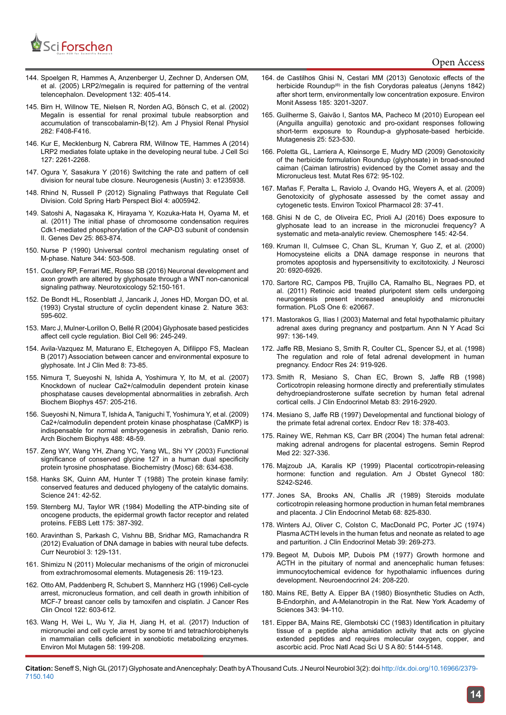

- 144. [Spoelgen R, Hammes A, Anzenberger U, Zechner D, Andersen OM,](https://www.ncbi.nlm.nih.gov/pubmed/15623804)  [et al. \(2005\) LRP2/megalin is required for patterning of the ventral](https://www.ncbi.nlm.nih.gov/pubmed/15623804)  [telencephalon. Development 132: 405-414.](https://www.ncbi.nlm.nih.gov/pubmed/15623804)
- 145. [Birn H, Willnow TE, Nielsen R, Norden AG, Bönsch C, et al. \(2002\)](https://www.ncbi.nlm.nih.gov/pubmed/11832420)  [Megalin is essential for renal proximal tubule reabsorption and](https://www.ncbi.nlm.nih.gov/pubmed/11832420)  [accumulation of transcobalamin-B\(12\). Am J Physiol Renal Physiol](https://www.ncbi.nlm.nih.gov/pubmed/11832420)  [282: F408-F416.](https://www.ncbi.nlm.nih.gov/pubmed/11832420)
- 146. [Kur E, Mecklenburg N, Cabrera RM, Willnow TE, Hammes A \(2014\)](https://www.ncbi.nlm.nih.gov/pubmed/24639464)  [LRP2 mediates folate uptake in the developing neural tube. J Cell Sci](https://www.ncbi.nlm.nih.gov/pubmed/24639464)  [127: 2261-2268.](https://www.ncbi.nlm.nih.gov/pubmed/24639464)
- 147. [Ogura Y, Sasakura Y \(2016\) Switching the rate and pattern of cell](https://www.ncbi.nlm.nih.gov/pubmed/27928549)  [division for neural tube closure. Neurogenesis \(Austin\) 3: e1235938.](https://www.ncbi.nlm.nih.gov/pubmed/27928549)
- 148. [Rhind N, Russell P \(2012\) Signaling Pathways that Regulate Cell](https://www.ncbi.nlm.nih.gov/pubmed/23028116)  [Division. Cold Spring Harb Perspect Biol 4: a005942.](https://www.ncbi.nlm.nih.gov/pubmed/23028116)
- 149. [Satoshi A, Nagasaka K, Hirayama Y, Kozuka-Hata H, Oyama M, et](https://www.ncbi.nlm.nih.gov/pubmed/21498573)  [al. \(2011\) The initial phase of chromosome condensation requires](https://www.ncbi.nlm.nih.gov/pubmed/21498573)  [Cdk1-mediated phosphorylation of the CAP-D3 subunit of condensin](https://www.ncbi.nlm.nih.gov/pubmed/21498573)  [II. Genes Dev 25: 863-874.](https://www.ncbi.nlm.nih.gov/pubmed/21498573)
- 150. [Nurse P \(1990\) Universal control mechanism regulating onset of](https://www.ncbi.nlm.nih.gov/pubmed/2138713)  [M-phase. Nature 344: 503-508.](https://www.ncbi.nlm.nih.gov/pubmed/2138713)
- 151. [Coullery RP, Ferrari ME, Rosso SB \(2016\) Neuronal development and](https://www.ncbi.nlm.nih.gov/pubmed/26688330)  [axon growth are altered by glyphosate through a WNT non-canonical](https://www.ncbi.nlm.nih.gov/pubmed/26688330)  [signaling pathway. Neurotoxicology 52:150-161.](https://www.ncbi.nlm.nih.gov/pubmed/26688330)
- 152. [De Bondt HL, Rosenblatt J, Jancarik J, Jones HD, Morgan DO, et al.](https://www.ncbi.nlm.nih.gov/pubmed/8510751)  [\(1993\) Crystal structure of cyclin dependent kinase 2. Nature 363:](https://www.ncbi.nlm.nih.gov/pubmed/8510751)  [595-602.](https://www.ncbi.nlm.nih.gov/pubmed/8510751)
- 153. [Marc J, Mulner-Lorillon O, Bellé R \(2004\) Glyphosate based pesticides](https://www.ncbi.nlm.nih.gov/pubmed/15182708)  [affect cell cycle regulation. Biol Cell 96: 245-249.](https://www.ncbi.nlm.nih.gov/pubmed/15182708)
- 154. [Avila-Vazquez M, Maturano E, Etchegoyen A, Difilippo FS, Maclean](http://file.scirp.org/pdf/IJCM_2017022015474710.pdf)  [B \(2017\) Association between cancer and environmental exposure to](http://file.scirp.org/pdf/IJCM_2017022015474710.pdf)  [glyphosate. Int J Clin Med 8: 73-85.](http://file.scirp.org/pdf/IJCM_2017022015474710.pdf)
- 155. [Nimura T, Sueyoshi N, Ishida A, Yoshimura Y, Ito M, et al. \(2007\)](https://www.ncbi.nlm.nih.gov/pubmed/17169323)  [Knockdown of nuclear Ca2+/calmodulin dependent protein kinase](https://www.ncbi.nlm.nih.gov/pubmed/17169323)  [phosphatase causes developmental abnormalities in zebrafish. Arch](https://www.ncbi.nlm.nih.gov/pubmed/17169323)  [Biochem Biophys 457: 205-216.](https://www.ncbi.nlm.nih.gov/pubmed/17169323)
- 156. [Sueyoshi N, Nimura T, Ishida A, Taniguchi T, Yoshimura Y, et al. \(2009\)](http://www.sciencedirect.com/science/article/pii/S0003986109001805)  [Ca2+/calmodulin dependent protein kinase phosphatase \(CaMKP\) is](http://www.sciencedirect.com/science/article/pii/S0003986109001805)  [indispensable for normal embryogenesis in zebrafish, Danio rerio.](http://www.sciencedirect.com/science/article/pii/S0003986109001805)  [Arch Biochem Biophys 488: 48-59.](http://www.sciencedirect.com/science/article/pii/S0003986109001805)
- 157. [Zeng WY, Wang YH, Zhang YC, Yang WL, Shi YY \(2003\) Functional](https://www.ncbi.nlm.nih.gov/pubmed/12943507)  [significance of conserved glycine 127 in a human dual specificity](https://www.ncbi.nlm.nih.gov/pubmed/12943507)  [protein tyrosine phosphatase. Biochemistry \(Mosc\) 68: 634-638.](https://www.ncbi.nlm.nih.gov/pubmed/12943507)
- 158. [Hanks SK, Quinn AM, Hunter T \(1988\) The protein kinase family:](https://www.ncbi.nlm.nih.gov/pubmed/3291115)  [conserved features and deduced phylogeny of the catalytic domains.](https://www.ncbi.nlm.nih.gov/pubmed/3291115)  [Science 241: 42-52.](https://www.ncbi.nlm.nih.gov/pubmed/3291115)
- 159. [Sternberg MJ, Taylor WR \(1984\) Modelling the ATP-binding site of](https://www.ncbi.nlm.nih.gov/pubmed/6090218)  [oncogene products, the epidermal growth factor receptor and related](https://www.ncbi.nlm.nih.gov/pubmed/6090218)  [proteins. FEBS Lett 175: 387-392.](https://www.ncbi.nlm.nih.gov/pubmed/6090218)
- 160. [Aravinthan S, Parkash C, Vishnu BB, Sridhar MG, Ramachandra R](http://www.alliedacademies.org/articles/evaluation-of-dna-damage-in-babies-with-neural-tube-defects.pdf)  [\(2012\) Evaluation of DNA damage in babies with neural tube defects.](http://www.alliedacademies.org/articles/evaluation-of-dna-damage-in-babies-with-neural-tube-defects.pdf)  [Curr Neurobiol 3: 129-131.](http://www.alliedacademies.org/articles/evaluation-of-dna-damage-in-babies-with-neural-tube-defects.pdf)
- 161. [Shimizu N \(2011\) Molecular mechanisms of the origin of micronuclei](https://www.ncbi.nlm.nih.gov/pubmed/21164192)  [from extrachromosomal elements. Mutagenesis 26: 119-123.](https://www.ncbi.nlm.nih.gov/pubmed/21164192)
- 162. [Otto AM, Paddenberg R, Schubert S, Mannherz HG \(1996\) Cell-cycle](https://www.ncbi.nlm.nih.gov/pubmed/8879258)  [arrest, micronucleus formation, and cell death in growth inhibition of](https://www.ncbi.nlm.nih.gov/pubmed/8879258)  [MCF-7 breast cancer cells by tamoxifen and cisplatin. J Cancer Res](https://www.ncbi.nlm.nih.gov/pubmed/8879258)  [Clin Oncol 122: 603-612.](https://www.ncbi.nlm.nih.gov/pubmed/8879258)
- 163. [Wang H, Wei L, Wu Y, Jia H, Jiang H, et al. \(2017\) Induction of](https://www.ncbi.nlm.nih.gov/pubmed/28444994)  [micronuclei and cell cycle arrest by some tri and tetrachlorobiphenyls](https://www.ncbi.nlm.nih.gov/pubmed/28444994)  [in mammalian cells deficient in xenobiotic metabolizing enzymes.](https://www.ncbi.nlm.nih.gov/pubmed/28444994)  [Environ Mol Mutagen 58: 199-208.](https://www.ncbi.nlm.nih.gov/pubmed/28444994)
- 164. [de Castilhos Ghisi N, Cestari MM \(2013\) Genotoxic effects of the](https://www.ncbi.nlm.nih.gov/pubmed/22821326) [herbicide Roundup\(®\) in the fish Corydoras paleatus \(Jenyns 1842\)](https://www.ncbi.nlm.nih.gov/pubmed/22821326) [after short term, environmentally low concentration exposure. Environ](https://www.ncbi.nlm.nih.gov/pubmed/22821326) [Monit Assess 185: 3201-3207.](https://www.ncbi.nlm.nih.gov/pubmed/22821326)
- 165. [Guilherme S, Gaivão I, Santos MA, Pacheco M \(2010\) European eel](https://www.ncbi.nlm.nih.gov/pubmed/20643706) [\(Anguilla anguilla\) genotoxic and pro-oxidant responses following](https://www.ncbi.nlm.nih.gov/pubmed/20643706) [short-term exposure to Roundup-a glyphosate-based herbicide.](https://www.ncbi.nlm.nih.gov/pubmed/20643706) [Mutagenesis 25: 523-530.](https://www.ncbi.nlm.nih.gov/pubmed/20643706)
- 166. [Poletta GL, Larriera A, Kleinsorge E, Mudry MD \(2009\) Genotoxicity](https://www.ncbi.nlm.nih.gov/pubmed/19022394) [of the herbicide formulation Roundup \(glyphosate\) in broad-snouted](https://www.ncbi.nlm.nih.gov/pubmed/19022394) [caiman \(Caiman latirostris\) evidenced by the Comet assay and the](https://www.ncbi.nlm.nih.gov/pubmed/19022394) [Micronucleus test. Mutat Res 672: 95-102.](https://www.ncbi.nlm.nih.gov/pubmed/19022394)
- 167. [Mañas F, Peralta L, Raviolo J, Ovando HG, Weyers A, et al. \(2009\)](https://www.ncbi.nlm.nih.gov/pubmed/21783980) [Genotoxicity of glyphosate assessed by the comet assay and](https://www.ncbi.nlm.nih.gov/pubmed/21783980) [cytogenetic tests. Environ Toxicol Pharmacol 28: 37-41.](https://www.ncbi.nlm.nih.gov/pubmed/21783980)
- 168. [Ghisi N de C, de Oliveira EC, Prioli AJ \(2016\) Does exposure to](https://www.ncbi.nlm.nih.gov/pubmed/26688238) [glyphosate lead to an increase in the micronuclei frequency? A](https://www.ncbi.nlm.nih.gov/pubmed/26688238) [systematic and meta-analytic review. Chemosphere 145: 42-54.](https://www.ncbi.nlm.nih.gov/pubmed/26688238)
- 169. [Kruman II, Culmsee C, Chan SL, Kruman Y, Guo Z, et al. \(2000\)](https://www.ncbi.nlm.nih.gov/pubmed/10995836) [Homocysteine elicits a DNA damage response in neurons that](https://www.ncbi.nlm.nih.gov/pubmed/10995836) [promotes apoptosis and hypersensitivity to excitotoxicity. J Neurosci](https://www.ncbi.nlm.nih.gov/pubmed/10995836) [20: 6920-6926.](https://www.ncbi.nlm.nih.gov/pubmed/10995836)
- 170. [Sartore RC, Campos PB, Trujillo CA, Ramalho BL, Negraes PD, et](https://www.ncbi.nlm.nih.gov/pubmed/21674001) [al. \(2011\) Retinoic acid treated pluripotent stem cells undergoing](https://www.ncbi.nlm.nih.gov/pubmed/21674001) [neurogenesis present increased aneuploidy and micronuclei](https://www.ncbi.nlm.nih.gov/pubmed/21674001) [formation. PLoS One 6: e20667.](https://www.ncbi.nlm.nih.gov/pubmed/21674001)
- 171. [Mastorakos G, Ilias I \(2003\) Maternal and fetal hypothalamic pituitary](https://www.ncbi.nlm.nih.gov/pubmed/14644820) [adrenal axes during pregnancy and postpartum. Ann N Y Acad Sci](https://www.ncbi.nlm.nih.gov/pubmed/14644820) [997: 136-149.](https://www.ncbi.nlm.nih.gov/pubmed/14644820)
- 172. [Jaffe RB, Mesiano S, Smith R, Coulter CL, Spencer SJ, et al. \(1998\)](https://www.ncbi.nlm.nih.gov/pubmed/9888597) [The regulation and role of fetal adrenal development in human](https://www.ncbi.nlm.nih.gov/pubmed/9888597) [pregnancy. Endocr Res 24: 919-926.](https://www.ncbi.nlm.nih.gov/pubmed/9888597)
- 173. [Smith R, Mesiano S, Chan EC, Brown S, Jaffe RB \(1998\)](https://www.ncbi.nlm.nih.gov/pubmed/9709969) [Corticotropin releasing hormone directly and preferentially stimulates](https://www.ncbi.nlm.nih.gov/pubmed/9709969) [dehydroepiandrosterone sulfate secretion by human fetal adrenal](https://www.ncbi.nlm.nih.gov/pubmed/9709969) [cortical cells. J Clin Endocrinol Metab 83: 2916-2920.](https://www.ncbi.nlm.nih.gov/pubmed/9709969)
- 174. [Mesiano S, Jaffe RB \(1997\) Developmental and functional biology of](https://www.ncbi.nlm.nih.gov/pubmed/9183569) [the primate fetal adrenal cortex. Endocr Rev 18: 378-403.](https://www.ncbi.nlm.nih.gov/pubmed/9183569)
- 175. [Rainey WE, Rehman KS, Carr BR \(2004\) The human fetal adrenal:](https://www.ncbi.nlm.nih.gov/pubmed/15635500) [making adrenal androgens for placental estrogens. Semin Reprod](https://www.ncbi.nlm.nih.gov/pubmed/15635500) [Med 22: 327-336.](https://www.ncbi.nlm.nih.gov/pubmed/15635500)
- 176. [Majzoub JA, Karalis KP \(1999\) Placental corticotropin-releasing](https://www.ncbi.nlm.nih.gov/pubmed/9914625) [hormone: function and regulation. Am J Obstet Gynecol 180:](https://www.ncbi.nlm.nih.gov/pubmed/9914625) [S242-S246.](https://www.ncbi.nlm.nih.gov/pubmed/9914625)
- 177. [Jones SA, Brooks AN, Challis JR \(1989\) Steroids modulate](https://www.ncbi.nlm.nih.gov/pubmed/2537843) [corticotropin releasing hormone production in human fetal membranes](https://www.ncbi.nlm.nih.gov/pubmed/2537843) [and placenta. J Clin Endocrinol Metab 68: 825-830.](https://www.ncbi.nlm.nih.gov/pubmed/2537843)
- 178. [Winters AJ, Oliver C, Colston C, MacDonald PC, Porter JC \(1974\)](https://www.ncbi.nlm.nih.gov/pubmed/4371228) [Plasma ACTH levels in the human fetus and neonate as related to age](https://www.ncbi.nlm.nih.gov/pubmed/4371228) [and parturition. J Clin Endocrinol Metab 39: 269-273.](https://www.ncbi.nlm.nih.gov/pubmed/4371228)
- 179. [Begeot M, Dubois MP, Dubois PM \(1977\) Growth hormone and](https://www.karger.com/Article/Abstract/122709) [ACTH in the pituitary of normal and anencephalic human fetuses:](https://www.karger.com/Article/Abstract/122709) [immunocytochemical evidence for hypothalamic influences during](https://www.karger.com/Article/Abstract/122709) [development. Neuroendocrinol 24: 208-220.](https://www.karger.com/Article/Abstract/122709)
- 180. [Mains RE, Betty A. Eipper BA \(1980\) Biosynthetic Studies on Acth,](http://onlinelibrary.wiley.com/doi/10.1111/j.1749-6632.1980.tb47245.x/abstract) [Β-Endorphin, and Α-Melanotropin in the Rat. New York Academy of](http://onlinelibrary.wiley.com/doi/10.1111/j.1749-6632.1980.tb47245.x/abstract) [Sciences 343: 94-110.](http://onlinelibrary.wiley.com/doi/10.1111/j.1749-6632.1980.tb47245.x/abstract)
- 181. [Eipper BA, Mains RE, Glembotski CC \(1983\) Identification in pituitary](https://www.ncbi.nlm.nih.gov/pubmed/6576381) [tissue of a peptide alpha amidation activity that acts on glycine](https://www.ncbi.nlm.nih.gov/pubmed/6576381) [extended peptides and requires molecular oxygen, copper, and](https://www.ncbi.nlm.nih.gov/pubmed/6576381) [ascorbic acid. Proc Natl Acad Sci U S A 80: 5144-5148.](https://www.ncbi.nlm.nih.gov/pubmed/6576381)